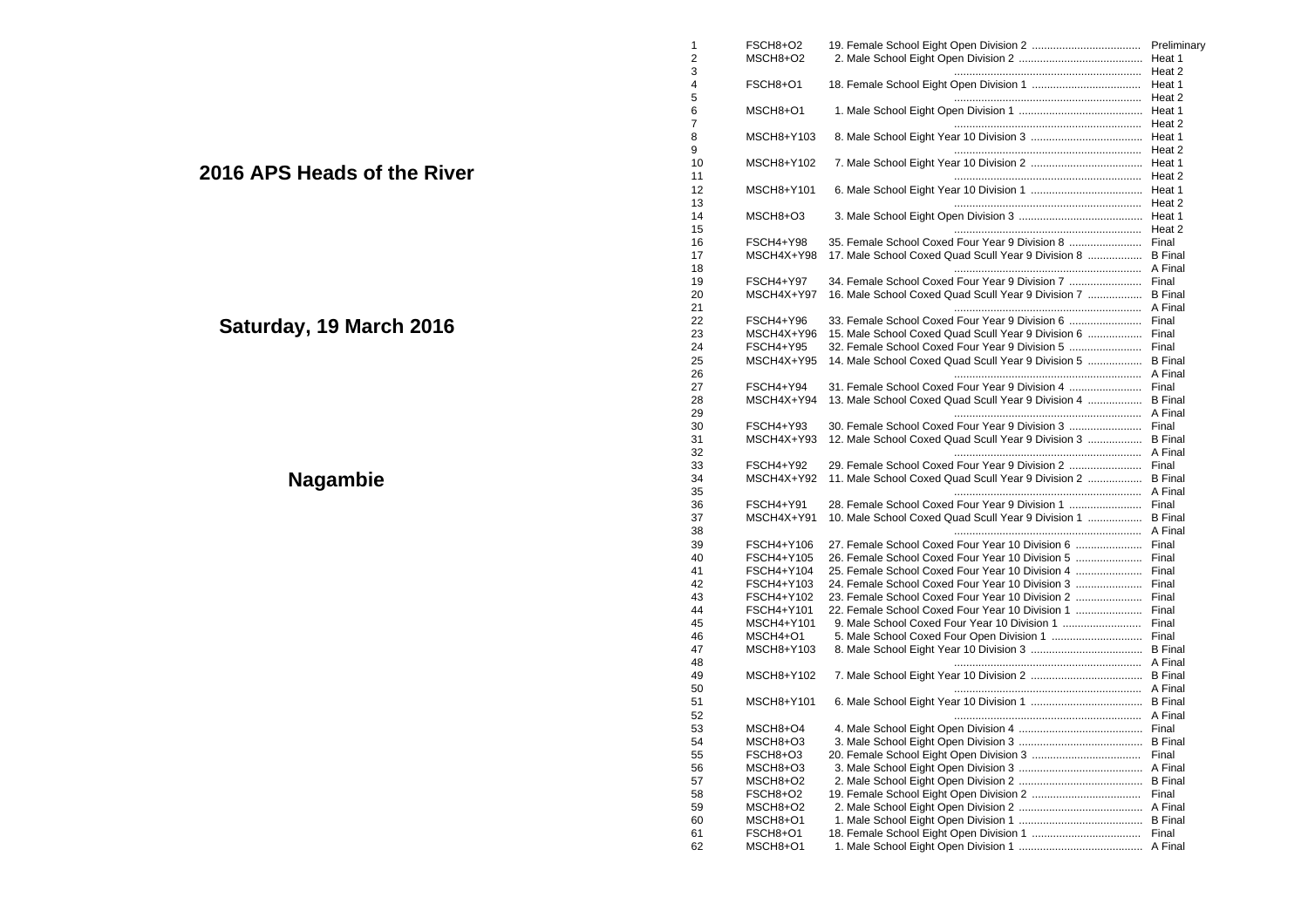|                             |                | FSCH8+O2         |                                                             |                |
|-----------------------------|----------------|------------------|-------------------------------------------------------------|----------------|
|                             | $\overline{2}$ | MSCH8+O2         |                                                             | Heat 1         |
|                             | 3              |                  |                                                             |                |
|                             |                | FSCH8+O1         |                                                             |                |
|                             | 5              |                  |                                                             |                |
|                             | 6              | MSCH8+O1         |                                                             |                |
|                             | 7              |                  |                                                             |                |
|                             | 8              | MSCH8+Y103       |                                                             |                |
|                             | 9              |                  |                                                             |                |
|                             |                |                  |                                                             |                |
| 2016 APS Heads of the River | 10             | MSCH8+Y102       |                                                             |                |
|                             | 11             |                  |                                                             |                |
|                             | 12             | MSCH8+Y101       |                                                             |                |
|                             | 13             |                  |                                                             |                |
|                             | 14             | MSCH8+O3         |                                                             |                |
|                             | 15             |                  |                                                             |                |
|                             | 16             | FSCH4+Y98        |                                                             |                |
|                             | 17             | MSCH4X+Y98       | 17. Male School Coxed Quad Scull Year 9 Division 8  B Final |                |
|                             | 18             |                  |                                                             |                |
|                             | 19             | FSCH4+Y97        | 34. Female School Coxed Four Year 9 Division 7              | Final          |
|                             |                |                  |                                                             |                |
|                             | 20             | MSCH4X+Y97       | 16. Male School Coxed Quad Scull Year 9 Division 7  B Final |                |
|                             | 21             |                  |                                                             |                |
| Saturday, 19 March 2016     | 22             | FSCH4+Y96        |                                                             |                |
|                             | 23             | MSCH4X+Y96       | 15. Male School Coxed Quad Scull Year 9 Division 6  Final   |                |
|                             | 24             | <b>FSCH4+Y95</b> | 32. Female School Coxed Four Year 9 Division 5              | Final          |
|                             | 25             | MSCH4X+Y95       | 14. Male School Coxed Quad Scull Year 9 Division 5          | <b>B</b> Final |
|                             | 26             |                  |                                                             |                |
|                             | 27             | FSCH4+Y94        |                                                             |                |
|                             | 28             | MSCH4X+Y94       | 13. Male School Coxed Quad Scull Year 9 Division 4  B Final |                |
|                             | 29             |                  |                                                             |                |
|                             | 30             | FSCH4+Y93        | 30. Female School Coxed Four Year 9 Division 3              | Final          |
|                             | 31             | MSCH4X+Y93       | 12. Male School Coxed Quad Scull Year 9 Division 3  B Final |                |
|                             | 32             |                  |                                                             |                |
|                             |                |                  |                                                             |                |
|                             | 33             | FSCH4+Y92        |                                                             |                |
| <b>Nagambie</b>             | 34             | MSCH4X+Y92       | 11. Male School Coxed Quad Scull Year 9 Division 2  B Final |                |
|                             | 35             |                  |                                                             |                |
|                             | 36             | FSCH4+Y91        | 28. Female School Coxed Four Year 9 Division 1              | Final          |
|                             | 37             | MSCH4X+Y91       | 10. Male School Coxed Quad Scull Year 9 Division 1  B Final |                |
|                             | 38             |                  |                                                             |                |
|                             | 39             | FSCH4+Y106       |                                                             |                |
|                             | 40             | FSCH4+Y105       |                                                             |                |
|                             | 41             | FSCH4+Y104       | 25. Female School Coxed Four Year 10 Division 4             | Final          |
|                             | 42             | FSCH4+Y103       | 24. Female School Coxed Four Year 10 Division 3             | Final          |
|                             | 43             | FSCH4+Y102       | 23. Female School Coxed Four Year 10 Division 2             | Final          |
|                             |                |                  |                                                             |                |
|                             | 44             | FSCH4+Y101       | 22. Female School Coxed Four Year 10 Division 1             | Final          |
|                             | 45             | MSCH4+Y101       |                                                             | Final          |
|                             | 46             | MSCH4+O1         |                                                             | Final          |
|                             | 47             | MSCH8+Y103       |                                                             |                |
|                             | 48             |                  |                                                             |                |
|                             | 49             | MSCH8+Y102       |                                                             |                |
|                             | 50             |                  |                                                             |                |
|                             | 51             | MSCH8+Y101       |                                                             |                |
|                             | 52             |                  |                                                             |                |
|                             | 53             | MSCH8+O4         |                                                             |                |
|                             |                |                  |                                                             |                |
|                             | 54             | MSCH8+O3         |                                                             |                |
|                             | 55             | FSCH8+O3         |                                                             |                |
|                             | 56             | MSCH8+O3         |                                                             |                |
|                             | 57             | MSCH8+O2         |                                                             |                |
|                             | 58             | FSCH8+O2         |                                                             |                |
|                             | 59             | MSCH8+O2         |                                                             |                |
|                             | 60             | MSCH8+O1         |                                                             |                |
|                             | 61             | FSCH8+O1         |                                                             |                |
|                             | 62             | MSCH8+O1         |                                                             |                |
|                             |                |                  |                                                             |                |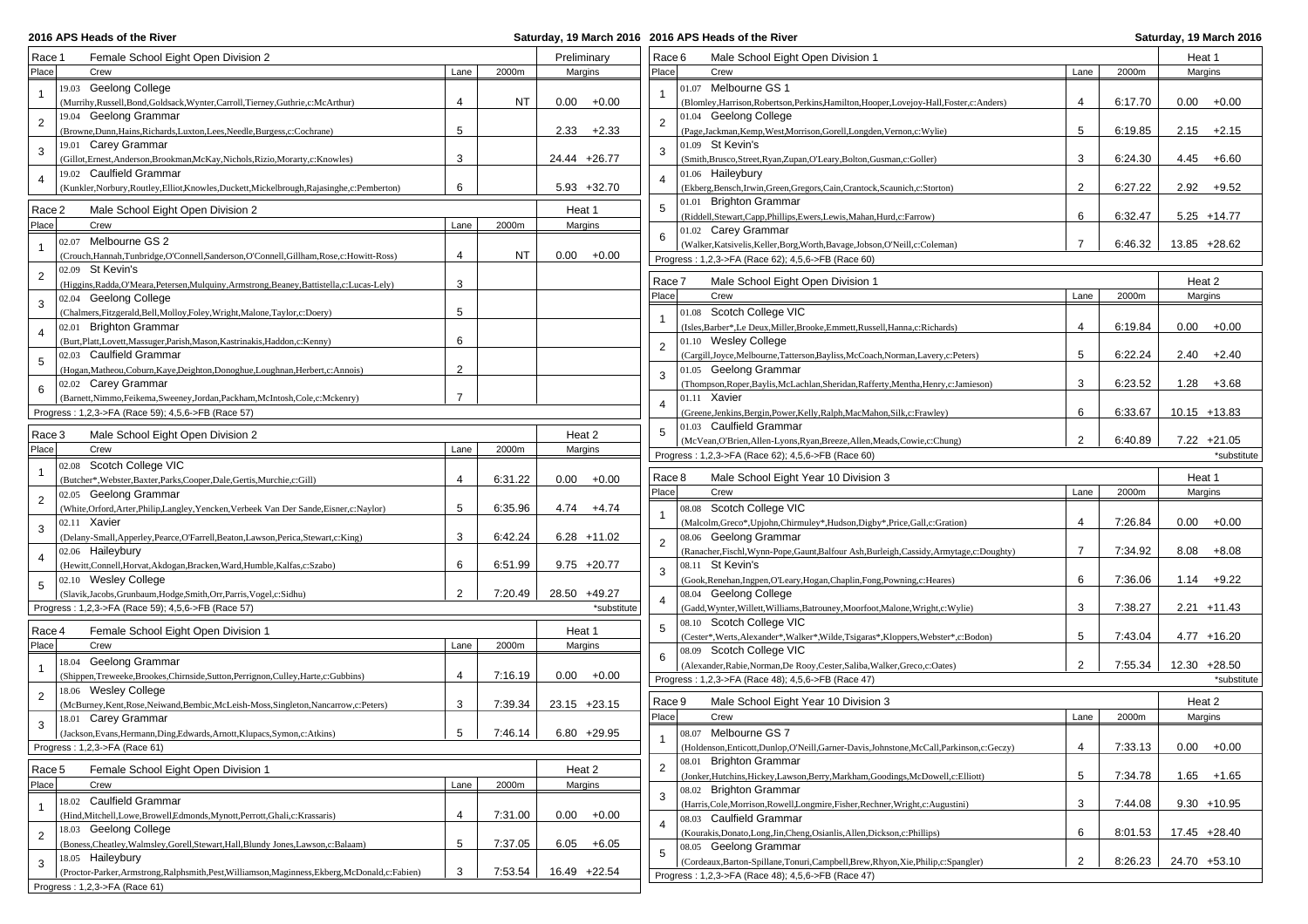**2016 APS Heads of the River** 

## **2016 APS Heads of the River Saturday, 19 March 2016**

| Race 1<br>Female School Eight Open Division 2<br>Male School Eight Open Division 1<br>Preliminary<br>Race 6<br>Place<br>Place<br>Lane<br>2000m<br>Margins<br>Lane<br>Crew<br>Crew<br>19.03 Geelong College<br>01.07 Melbourne GS 1<br>(Murrihy, Russell, Bond, Goldsack, Wynter, Carroll, Tierney, Guthrie, c: McArthur)<br>$\overline{4}$<br>NT<br>0.00<br>$+0.00$<br>$\overline{4}$<br>(Blomley, Harrison, Robertson, Perkins, Hamilton, Hooper, Lovejoy-Hall, Foster, c: Anders)<br>19.04 Geelong Grammar<br>01.04 Geelong College<br>$\overline{2}$<br>$\overline{2}$<br>5<br>5<br>$2.33 + 2.33$<br>(Browne, Dunn, Hains, Richards, Luxton, Lees, Needle, Burgess, c: Cochrane)<br>(Page,Jackman,Kemp,West,Morrison,Gorell,Longden,Vernon,c:Wylie)<br>19.01 Carey Grammar<br>01.09 St Kevin's<br>3<br>3<br>3<br>3<br>24.44 +26.77<br>(Gillot, Ernest, Anderson, Brookman, McKay, Nichols, Rizio, Morarty, c: Knowles)<br>(Smith, Brusco, Street, Ryan, Zupan, O'Leary, Bolton, Gusman, c: Goller)<br>19.02 Caulfield Grammar<br>01.06 Haileybury<br>$\overline{4}$<br>6<br>2<br>$5.93 + 32.70$<br>(Kunkler, Norbury, Routley, Elliot, Knowles, Duckett, Mickelbrough, Rajasinghe, c: Pemberton)<br>(Ekberg, Bensch, Irwin, Green, Gregors, Cain, Crantock, Scaunich, c: Storton) | 2000m<br>6:17.70<br>6:19.85 | Heat 1<br>Margins<br>$0.00 + 0.00$ |
|--------------------------------------------------------------------------------------------------------------------------------------------------------------------------------------------------------------------------------------------------------------------------------------------------------------------------------------------------------------------------------------------------------------------------------------------------------------------------------------------------------------------------------------------------------------------------------------------------------------------------------------------------------------------------------------------------------------------------------------------------------------------------------------------------------------------------------------------------------------------------------------------------------------------------------------------------------------------------------------------------------------------------------------------------------------------------------------------------------------------------------------------------------------------------------------------------------------------------------------------------------------------------------------|-----------------------------|------------------------------------|
|                                                                                                                                                                                                                                                                                                                                                                                                                                                                                                                                                                                                                                                                                                                                                                                                                                                                                                                                                                                                                                                                                                                                                                                                                                                                                      |                             |                                    |
|                                                                                                                                                                                                                                                                                                                                                                                                                                                                                                                                                                                                                                                                                                                                                                                                                                                                                                                                                                                                                                                                                                                                                                                                                                                                                      |                             |                                    |
|                                                                                                                                                                                                                                                                                                                                                                                                                                                                                                                                                                                                                                                                                                                                                                                                                                                                                                                                                                                                                                                                                                                                                                                                                                                                                      |                             |                                    |
|                                                                                                                                                                                                                                                                                                                                                                                                                                                                                                                                                                                                                                                                                                                                                                                                                                                                                                                                                                                                                                                                                                                                                                                                                                                                                      |                             |                                    |
|                                                                                                                                                                                                                                                                                                                                                                                                                                                                                                                                                                                                                                                                                                                                                                                                                                                                                                                                                                                                                                                                                                                                                                                                                                                                                      |                             |                                    |
|                                                                                                                                                                                                                                                                                                                                                                                                                                                                                                                                                                                                                                                                                                                                                                                                                                                                                                                                                                                                                                                                                                                                                                                                                                                                                      |                             | $2.15 + 2.15$                      |
|                                                                                                                                                                                                                                                                                                                                                                                                                                                                                                                                                                                                                                                                                                                                                                                                                                                                                                                                                                                                                                                                                                                                                                                                                                                                                      |                             |                                    |
|                                                                                                                                                                                                                                                                                                                                                                                                                                                                                                                                                                                                                                                                                                                                                                                                                                                                                                                                                                                                                                                                                                                                                                                                                                                                                      | 6:24.30                     | 4.45<br>$+6.60$                    |
|                                                                                                                                                                                                                                                                                                                                                                                                                                                                                                                                                                                                                                                                                                                                                                                                                                                                                                                                                                                                                                                                                                                                                                                                                                                                                      |                             |                                    |
|                                                                                                                                                                                                                                                                                                                                                                                                                                                                                                                                                                                                                                                                                                                                                                                                                                                                                                                                                                                                                                                                                                                                                                                                                                                                                      | 6:27.22                     | $2.92 + 9.52$                      |
| 01.01 Brighton Grammar<br>5<br>Race 2<br>Male School Eight Open Division 2<br>Heat 1                                                                                                                                                                                                                                                                                                                                                                                                                                                                                                                                                                                                                                                                                                                                                                                                                                                                                                                                                                                                                                                                                                                                                                                                 |                             |                                    |
| (Riddell,Stewart,Capp,Phillips,Ewers,Lewis,Mahan,Hurd,c:Farrow)<br>6<br>Place<br>2000m<br>Margins<br>Crew<br>Lane                                                                                                                                                                                                                                                                                                                                                                                                                                                                                                                                                                                                                                                                                                                                                                                                                                                                                                                                                                                                                                                                                                                                                                    | 6:32.47                     | $5.25 + 14.77$                     |
| 01.02 Carey Grammar<br>6<br>02.07 Melbourne GS 2                                                                                                                                                                                                                                                                                                                                                                                                                                                                                                                                                                                                                                                                                                                                                                                                                                                                                                                                                                                                                                                                                                                                                                                                                                     |                             |                                    |
| $\overline{7}$<br>(Walker,Katsivelis,Keller,Borg,Worth,Bavage,Jobson,O'Neill,c:Coleman)<br>NT                                                                                                                                                                                                                                                                                                                                                                                                                                                                                                                                                                                                                                                                                                                                                                                                                                                                                                                                                                                                                                                                                                                                                                                        | 6:46.32                     | 13.85 +28.62                       |
| $0.00 + 0.00$<br>(Crouch, Hannah, Tunbridge, O'Connell, Sanderson, O'Connell, Gillham, Rose, c: Howitt-Ross)<br>4<br>Progress: 1,2,3->FA (Race 62); 4,5,6->FB (Race 60)                                                                                                                                                                                                                                                                                                                                                                                                                                                                                                                                                                                                                                                                                                                                                                                                                                                                                                                                                                                                                                                                                                              |                             |                                    |
| 02.09 St Kevin's<br>$\overline{2}$<br>Race 7<br>Male School Eight Open Division 1                                                                                                                                                                                                                                                                                                                                                                                                                                                                                                                                                                                                                                                                                                                                                                                                                                                                                                                                                                                                                                                                                                                                                                                                    |                             | Heat 2                             |
| 3<br>(Higgins, Radda, O'Meara, Petersen, Mulquiny, Armstrong, Beaney, Battistella, c: Lucas-Lely)<br>Place<br>Crew<br>Lane                                                                                                                                                                                                                                                                                                                                                                                                                                                                                                                                                                                                                                                                                                                                                                                                                                                                                                                                                                                                                                                                                                                                                           | 2000m                       | Margins                            |
| 02.04 Geelong College<br>3                                                                                                                                                                                                                                                                                                                                                                                                                                                                                                                                                                                                                                                                                                                                                                                                                                                                                                                                                                                                                                                                                                                                                                                                                                                           |                             |                                    |
| 5<br>01.08 Scotch College VIC<br>(Chalmers, Fitzgerald, Bell, Molloy, Foley, Wright, Malone, Taylor, c: Doery)                                                                                                                                                                                                                                                                                                                                                                                                                                                                                                                                                                                                                                                                                                                                                                                                                                                                                                                                                                                                                                                                                                                                                                       |                             |                                    |
| 02.01 Brighton Grammar<br>(Isles, Barber*, Le Deux, Miller, Brooke, Emmett, Russell, Hanna, c: Richards)<br>4<br>$\overline{4}$                                                                                                                                                                                                                                                                                                                                                                                                                                                                                                                                                                                                                                                                                                                                                                                                                                                                                                                                                                                                                                                                                                                                                      | 6:19.84                     | 0.00<br>$+0.00$                    |
| 6<br>01.10 Wesley College<br>(Burt, Platt, Lovett, Massuger, Parish, Mason, Kastrinakis, Haddon, c: Kenny)                                                                                                                                                                                                                                                                                                                                                                                                                                                                                                                                                                                                                                                                                                                                                                                                                                                                                                                                                                                                                                                                                                                                                                           |                             |                                    |
| 5<br>02.03 Caulfield Grammar<br>(Cargill,Joyce,Melbourne,Tatterson,Bayliss,McCoach,Norman,Lavery,c:Peters)<br>5                                                                                                                                                                                                                                                                                                                                                                                                                                                                                                                                                                                                                                                                                                                                                                                                                                                                                                                                                                                                                                                                                                                                                                      | 6:22.24                     | 2.40<br>+2.40                      |
| $\overline{2}$<br>01.05 Geelong Grammar<br>(Hogan, Matheou, Coburn, Kaye, Deighton, Donoghue, Loughnan, Herbert, c: Annois)                                                                                                                                                                                                                                                                                                                                                                                                                                                                                                                                                                                                                                                                                                                                                                                                                                                                                                                                                                                                                                                                                                                                                          |                             |                                    |
| 3<br>02.02 Carey Grammar<br>(Thompson, Roper, Baylis, McLachlan, Sheridan, Rafferty, Mentha, Henry, c: Jamieson)<br>6                                                                                                                                                                                                                                                                                                                                                                                                                                                                                                                                                                                                                                                                                                                                                                                                                                                                                                                                                                                                                                                                                                                                                                | 6:23.52                     | 1.28<br>$+3.68$                    |
| $\overline{7}$<br>(Barnett,Nimmo,Feikema,Sweeney,Jordan,Packham,McIntosh,Cole,c:Mckenry)<br>$01.11$ Xavier                                                                                                                                                                                                                                                                                                                                                                                                                                                                                                                                                                                                                                                                                                                                                                                                                                                                                                                                                                                                                                                                                                                                                                           |                             |                                    |
| 6<br>Progress: 1,2,3->FA (Race 59); 4,5,6->FB (Race 57)<br>(Greene, Jenkins, Bergin, Power, Kelly, Ralph, MacMahon, Silk, c: Frawley)                                                                                                                                                                                                                                                                                                                                                                                                                                                                                                                                                                                                                                                                                                                                                                                                                                                                                                                                                                                                                                                                                                                                                | 6:33.67                     | $10.15 + 13.83$                    |
| 01.03 Caulfield Grammar<br>Race 3<br>Male School Eight Open Division 2<br>Heat 2                                                                                                                                                                                                                                                                                                                                                                                                                                                                                                                                                                                                                                                                                                                                                                                                                                                                                                                                                                                                                                                                                                                                                                                                     |                             |                                    |
| $\overline{2}$<br>(McVean, O'Brien, Allen-Lyons, Ryan, Breeze, Allen, Meads, Cowie, c: Chung)<br>Place<br>2000m<br>Margins<br>Crew<br>Lane                                                                                                                                                                                                                                                                                                                                                                                                                                                                                                                                                                                                                                                                                                                                                                                                                                                                                                                                                                                                                                                                                                                                           | 6:40.89                     | $7.22 +21.05$                      |
| Progress: 1,2,3->FA (Race 62); 4,5,6->FB (Race 60)<br>02.08 Scotch College VIC                                                                                                                                                                                                                                                                                                                                                                                                                                                                                                                                                                                                                                                                                                                                                                                                                                                                                                                                                                                                                                                                                                                                                                                                       |                             | *substitute                        |
| Race 8<br>Male School Eight Year 10 Division 3<br>4<br>6:31.22<br>$0.00 + 0.00$<br>(Butcher*, Webster, Baxter, Parks, Cooper, Dale, Gertis, Murchie, c: Gill)                                                                                                                                                                                                                                                                                                                                                                                                                                                                                                                                                                                                                                                                                                                                                                                                                                                                                                                                                                                                                                                                                                                        |                             | Heat 1                             |
| Place<br>Crew<br>Lane<br>02.05 Geelong Grammar                                                                                                                                                                                                                                                                                                                                                                                                                                                                                                                                                                                                                                                                                                                                                                                                                                                                                                                                                                                                                                                                                                                                                                                                                                       | 2000m                       | Margins                            |
| $\overline{2}$<br>5<br>(White,Orford,Arter,Philip,Langley,Yencken,Verbeek Van Der Sande,Eisner,c:Naylor)<br>6:35.96<br>$4.74 + 4.74$<br>08.08 Scotch College VIC                                                                                                                                                                                                                                                                                                                                                                                                                                                                                                                                                                                                                                                                                                                                                                                                                                                                                                                                                                                                                                                                                                                     |                             |                                    |
| 02.11 Xavier<br>$\overline{4}$                                                                                                                                                                                                                                                                                                                                                                                                                                                                                                                                                                                                                                                                                                                                                                                                                                                                                                                                                                                                                                                                                                                                                                                                                                                       |                             | 0.00<br>$+0.00$                    |
| (Malcolm, Greco*, Upjohn, Chirmuley*, Hudson, Digby*, Price, Gall, c: Gration)<br>3<br>3                                                                                                                                                                                                                                                                                                                                                                                                                                                                                                                                                                                                                                                                                                                                                                                                                                                                                                                                                                                                                                                                                                                                                                                             | 7:26.84                     |                                    |
| 6:42.24<br>$6.28 + 11.02$<br>08.06 Geelong Grammar<br>(Delany-Small, Apperley, Pearce, O'Farrell, Beaton, Lawson, Perica, Stewart, c: King)<br>$\overline{7}$                                                                                                                                                                                                                                                                                                                                                                                                                                                                                                                                                                                                                                                                                                                                                                                                                                                                                                                                                                                                                                                                                                                        | 7:34.92                     | $+8.08$                            |
| (Ranacher, Fischl, Wynn-Pope, Gaunt, Balfour Ash, Burleigh, Cassidy, Armytage, c: Doughty)<br>02.06 Haileybury<br>$\overline{4}$<br>6                                                                                                                                                                                                                                                                                                                                                                                                                                                                                                                                                                                                                                                                                                                                                                                                                                                                                                                                                                                                                                                                                                                                                |                             | 8.08                               |
| (Hewitt,Connell,Horvat,Akdogan,Bracken,Ward,Humble,Kalfas,c:Szabo)<br>6:51.99<br>$9.75 + 20.77$<br>08.11 St Kevin's<br>6                                                                                                                                                                                                                                                                                                                                                                                                                                                                                                                                                                                                                                                                                                                                                                                                                                                                                                                                                                                                                                                                                                                                                             |                             |                                    |
| 02.10 Wesley College<br>(Gook, Renehan, Ingpen, O'Leary, Hogan, Chaplin, Fong, Powning, c: Heares)<br>5<br>$\overline{2}$                                                                                                                                                                                                                                                                                                                                                                                                                                                                                                                                                                                                                                                                                                                                                                                                                                                                                                                                                                                                                                                                                                                                                            | 7:36.06                     | $1.14 + 9.22$                      |
| 7:20.49<br>28.50 +49.27<br>08.04 Geelong College<br>(Slavik,Jacobs,Grunbaum,Hodge,Smith,Orr,Parris,Vogel,c:Sidhu)                                                                                                                                                                                                                                                                                                                                                                                                                                                                                                                                                                                                                                                                                                                                                                                                                                                                                                                                                                                                                                                                                                                                                                    |                             |                                    |
| 3<br>Progress: 1,2,3->FA (Race 59); 4,5,6->FB (Race 57)<br>(Gadd, Wynter, Willett, Williams, Batrouney, Moorfoot, Malone, Wright, c: Wylie)<br>*substitute                                                                                                                                                                                                                                                                                                                                                                                                                                                                                                                                                                                                                                                                                                                                                                                                                                                                                                                                                                                                                                                                                                                           | 7:38.27                     | $2.21 + 11.43$                     |
| 08.10 Scotch College VIC<br>5<br>Race 4<br>Female School Eight Open Division 1<br>Heat 1<br>5                                                                                                                                                                                                                                                                                                                                                                                                                                                                                                                                                                                                                                                                                                                                                                                                                                                                                                                                                                                                                                                                                                                                                                                        |                             |                                    |
| (Cester*, Werts, Alexander*, Walker*, Wilde, Tsigaras*, Kloppers, Webster*, c: Bodon)<br>Place<br>2000m<br>Crew<br>Lane<br>Margins                                                                                                                                                                                                                                                                                                                                                                                                                                                                                                                                                                                                                                                                                                                                                                                                                                                                                                                                                                                                                                                                                                                                                   | 7:43.04                     | $4.77 + 16.20$                     |
| 08.09 Scotch College VIC<br>6<br>18.04 Geelong Grammar                                                                                                                                                                                                                                                                                                                                                                                                                                                                                                                                                                                                                                                                                                                                                                                                                                                                                                                                                                                                                                                                                                                                                                                                                               |                             |                                    |
| 2<br>(Alexander, Rabie, Norman, De Rooy, Cester, Saliba, Walker, Greco, c: Oates)<br>(Shippen, Treweeke, Brookes, Chirnside, Sutton, Perrignon, Culley, Harte, c: Gubbins)<br>7:16.19<br>0.00<br>$+0.00$<br>4                                                                                                                                                                                                                                                                                                                                                                                                                                                                                                                                                                                                                                                                                                                                                                                                                                                                                                                                                                                                                                                                        | 7:55.34                     | $12.30 + 28.50$                    |
| Progress: 1,2,3->FA (Race 48); 4,5,6->FB (Race 47)<br>18.06 Wesley College                                                                                                                                                                                                                                                                                                                                                                                                                                                                                                                                                                                                                                                                                                                                                                                                                                                                                                                                                                                                                                                                                                                                                                                                           |                             | *substitute                        |
| $\overline{2}$                                                                                                                                                                                                                                                                                                                                                                                                                                                                                                                                                                                                                                                                                                                                                                                                                                                                                                                                                                                                                                                                                                                                                                                                                                                                       |                             | Heat 2                             |
|                                                                                                                                                                                                                                                                                                                                                                                                                                                                                                                                                                                                                                                                                                                                                                                                                                                                                                                                                                                                                                                                                                                                                                                                                                                                                      | 2000m                       | Margins                            |
| Male School Eight Year 10 Division 3<br>Race 9<br>3<br>7:39.34<br>23.15 +23.15<br>(McBurney,Kent,Rose,Neiwand,Bembic,McLeish-Moss,Singleton,Nancarrow,c:Peters)                                                                                                                                                                                                                                                                                                                                                                                                                                                                                                                                                                                                                                                                                                                                                                                                                                                                                                                                                                                                                                                                                                                      |                             |                                    |
| Place<br>Crew<br>Lane<br>18.01 Carey Grammar<br>3                                                                                                                                                                                                                                                                                                                                                                                                                                                                                                                                                                                                                                                                                                                                                                                                                                                                                                                                                                                                                                                                                                                                                                                                                                    |                             | $0.00 + 0.00$                      |
| 5<br>$6.80 + 29.95$<br>08.07 Melbourne GS 7<br>7:46.14<br>(Jackson, Evans, Hermann, Ding, Edwards, Arnott, Klupacs, Symon, c: Atkins)                                                                                                                                                                                                                                                                                                                                                                                                                                                                                                                                                                                                                                                                                                                                                                                                                                                                                                                                                                                                                                                                                                                                                |                             |                                    |
| $\overline{4}$<br>Progress: 1,2,3->FA (Race 61)<br>(Holdenson, Enticott, Dunlop, O'Neill, Garner-Davis, Johnstone, McCall, Parkinson, c: Geczy)                                                                                                                                                                                                                                                                                                                                                                                                                                                                                                                                                                                                                                                                                                                                                                                                                                                                                                                                                                                                                                                                                                                                      | 7:33.13                     |                                    |
| 08.01 Brighton Grammar<br>$\overline{2}$<br>Race 5<br>Female School Eight Open Division 1<br>Heat 2                                                                                                                                                                                                                                                                                                                                                                                                                                                                                                                                                                                                                                                                                                                                                                                                                                                                                                                                                                                                                                                                                                                                                                                  |                             |                                    |
| 5<br>(Jonker, Hutchins, Hickey, Lawson, Berry, Markham, Goodings, McDowell, c: Elliott)<br>Place<br>Crew<br>2000m<br>Lane<br>Margins                                                                                                                                                                                                                                                                                                                                                                                                                                                                                                                                                                                                                                                                                                                                                                                                                                                                                                                                                                                                                                                                                                                                                 | 7:34.78                     | $1.65 + 1.65$                      |
| 08.02 Brighton Grammar<br>3                                                                                                                                                                                                                                                                                                                                                                                                                                                                                                                                                                                                                                                                                                                                                                                                                                                                                                                                                                                                                                                                                                                                                                                                                                                          |                             |                                    |
| 18.02 Caulfield Grammar<br>3<br>(Harris, Cole, Morrison, Rowell, Longmire, Fisher, Rechner, Wright, c: Augustini)                                                                                                                                                                                                                                                                                                                                                                                                                                                                                                                                                                                                                                                                                                                                                                                                                                                                                                                                                                                                                                                                                                                                                                    | 7:44.08                     | $9.30 + 10.95$                     |
| (Hind, Mitchell, Lowe, Browell, Edmonds, Mynott, Perrott, Ghali, c: Krassaris)<br>7:31.00<br>$0.00 + 0.00$<br>$\overline{4}$<br>08.03 Caulfield Grammar<br>$\overline{4}$                                                                                                                                                                                                                                                                                                                                                                                                                                                                                                                                                                                                                                                                                                                                                                                                                                                                                                                                                                                                                                                                                                            |                             |                                    |
| 18.03 Geelong College<br>(Kourakis, Donato, Long, Jin, Cheng, Osianlis, Allen, Dickson, c: Phillips)<br>6<br>$\overline{2}$                                                                                                                                                                                                                                                                                                                                                                                                                                                                                                                                                                                                                                                                                                                                                                                                                                                                                                                                                                                                                                                                                                                                                          | 8:01.53                     | $17.45 +28.40$                     |
| (Boness, Cheatley, Walmsley, Gorell, Stewart, Hall, Blundy Jones, Lawson, c: Balaam)<br>5<br>7:37.05<br>$6.05 + 6.05$<br>08.05 Geelong Grammar<br>5                                                                                                                                                                                                                                                                                                                                                                                                                                                                                                                                                                                                                                                                                                                                                                                                                                                                                                                                                                                                                                                                                                                                  |                             |                                    |
| 18.05 Haileybury<br>2<br>(Cordeaux, Barton-Spillane, Tonuri, Campbell, Brew, Rhyon, Xie, Philip, c: Spangler)<br>3<br>(Proctor-Parker, Armstrong, Ralphsmith, Pest, Williamson, Maginness, Ekberg, McDonald, c: Fabien)<br>3<br>16.49 +22.54<br>7:53.54<br>Progress: 1,2,3->FA (Race 48); 4,5,6->FB (Race 47)                                                                                                                                                                                                                                                                                                                                                                                                                                                                                                                                                                                                                                                                                                                                                                                                                                                                                                                                                                        | 8:26.23                     | 24.70 +53.10                       |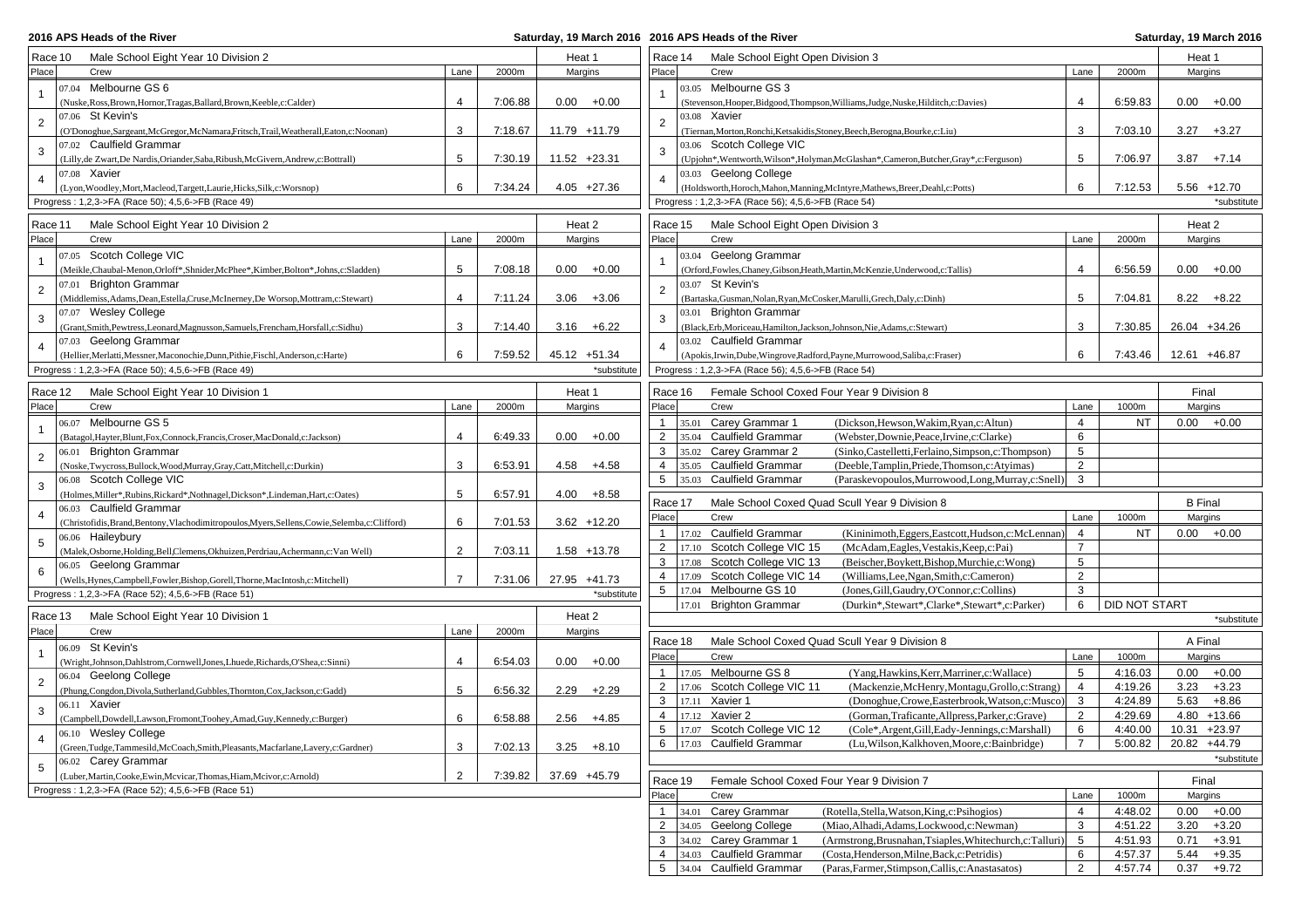**2016 APS Heads of the River** 

## **2016 APS Heads of the River Saturday, 19 March 2016**

| Male School Eight Year 10 Division 2<br>Race 10                                                                                          |                |         | Heat 1          | Race 14<br>Male School Eight Open Division 3                                                                                        | Heat 1          |
|------------------------------------------------------------------------------------------------------------------------------------------|----------------|---------|-----------------|-------------------------------------------------------------------------------------------------------------------------------------|-----------------|
| Place<br>Crew                                                                                                                            | Lane           | 2000m   | Margins         | Place<br>Crew<br>2000m<br>Lane                                                                                                      | Margins         |
| 07.04 Melbourne GS 6                                                                                                                     |                |         |                 | 03.05 Melbourne GS 3                                                                                                                |                 |
| $\mathbf{1}$<br>(Nuske, Ross, Brown, Hornor, Tragas, Ballard, Brown, Keeble, c: Calder)                                                  | $\overline{4}$ | 7:06.88 | 0.00<br>$+0.00$ | 4<br>6:59.83<br>(Stevenson, Hooper, Bidgood, Thompson, Williams, Judge, Nuske, Hilditch, c: Davies)                                 | $0.00 + 0.00$   |
| 07.06 St Kevin's                                                                                                                         |                |         |                 | 03.08 Xavier                                                                                                                        |                 |
| $\overline{c}$<br>O'Donoghue, Sargeant, McGregor, McNamara, Fritsch, Trail, Weatherall, Eaton, c: Noonan)                                | 3              | 7:18.67 | 11.79 +11.79    | $\overline{2}$<br>3<br>7:03.10<br>(Tiernan, Morton, Ronchi, Ketsakidis, Stoney, Beech, Berogna, Bourke, c: Liu)                     | $3.27 + 3.27$   |
| 07.02 Caulfield Grammar                                                                                                                  |                |         |                 | 03.06 Scotch College VIC                                                                                                            |                 |
| 3<br>(Lilly, de Zwart, De Nardis, Oriander, Saba, Ribush, McGivern, Andrew, c: Bottrall)                                                 | 5              | 7:30.19 | 11.52 +23.31    | 5<br>(Upjohn*, Wentworth, Wilson*, Holyman, McGlashan*, Cameron, Butcher, Gray*, c: Ferguson)<br>7:06.97                            | 3.87<br>$+7.14$ |
| 07.08 Xavier<br>$\overline{4}$                                                                                                           |                |         |                 | 03.03 Geelong College<br>$\overline{4}$                                                                                             |                 |
| (Lyon, Woodley, Mort, Macleod, Targett, Laurie, Hicks, Silk, c: Worsnop)                                                                 | 6              | 7:34.24 | $4.05 +27.36$   | (Holdsworth, Horoch, Mahon, Manning, McIntyre, Mathews, Breer, Deahl, c: Potts)<br>6<br>7:12.53                                     | 5.56 +12.70     |
| Progress: 1,2,3->FA (Race 50); 4,5,6->FB (Race 49)                                                                                       |                |         |                 | Progress: 1,2,3->FA (Race 56); 4,5,6->FB (Race 54)                                                                                  | *substitute     |
| Male School Eight Year 10 Division 2<br>Race 11                                                                                          |                |         | Heat 2          | Race 15<br>Male School Eight Open Division 3                                                                                        | Heat 2          |
| Place<br>Crew                                                                                                                            | Lane           | 2000m   | Margins         | Place<br>Lane<br>2000m<br>Crew                                                                                                      | Margins         |
| 07.05 Scotch College VIC                                                                                                                 |                |         |                 | 03.04 Geelong Grammar                                                                                                               |                 |
| $\mathbf{1}$<br>(Meikle,Chaubal-Menon,Orloff*,Shnider,McPhee*,Kimber,Bolton*,Johns,c:Sladden)                                            | 5              | 7:08.18 | 0.00<br>$+0.00$ | 6:56.59<br>(Orford, Fowles, Chaney, Gibson, Heath, Martin, McKenzie, Underwood, c: Tallis)<br>4                                     | $0.00 + 0.00$   |
| 07.01 Brighton Grammar                                                                                                                   |                |         |                 | 03.07 St Kevin's                                                                                                                    |                 |
| $\sqrt{2}$                                                                                                                               | $\overline{4}$ |         |                 | $\overline{2}$<br>5                                                                                                                 |                 |
| (Middlemiss, Adams, Dean, Estella, Cruse, McInerney, De Worsop, Mottram, c: Stewart)<br>07.07 Wesley College                             |                | 7:11.24 | $3.06 + 3.06$   | 7:04.81<br>(Bartaska, Gusman, Nolan, Ryan, McCosker, Marulli, Grech, Daly, c: Dinh)<br>03.01 Brighton Grammar                       | $8.22 + 8.22$   |
| 3                                                                                                                                        | 3              | 7:14.40 |                 | 3<br>3<br>7:30.85                                                                                                                   |                 |
| (Grant,Smith,Pewtress,Leonard,Magnusson,Samuels,Frencham,Horsfall,c:Sidhu)<br>07.03 Geelong Grammar                                      |                |         | $3.16 + 6.22$   | (Black, Erb, Moriceau, Hamilton, Jackson, Johnson, Nie, Adams, c: Stewart)<br>03.02 Caulfield Grammar                               | 26.04 +34.26    |
| $\overline{4}$                                                                                                                           | 6              | 7:59.52 | 45.12 +51.34    | 6<br>7:43.46                                                                                                                        | 12.61 +46.87    |
| (Hellier, Merlatti, Messner, Maconochie, Dunn, Pithie, Fischl, Anderson, c: Harte)<br>Progress: 1,2,3->FA (Race 50); 4,5,6->FB (Race 49) |                |         | *substitute     | (Apokis, Irwin, Dube, Wingrove, Radford, Payne, Murrowood, Saliba, c: Fraser)<br>Progress: 1,2,3->FA (Race 56); 4,5,6->FB (Race 54) |                 |
|                                                                                                                                          |                |         |                 |                                                                                                                                     |                 |
| Male School Eight Year 10 Division 1<br>Race 12                                                                                          |                |         | Heat 1          | Race 16<br>Female School Coxed Four Year 9 Division 8                                                                               | Final           |
| Place<br>Crew                                                                                                                            | Lane           | 2000m   | Margins         | Place<br>1000m<br>Crew<br>Lane                                                                                                      | Margins         |
| 06.07 Melbourne GS 5<br>$\mathbf{1}$                                                                                                     |                |         |                 | 35.01 Carey Grammar 1<br>(Dickson, Hewson, Wakim, Ryan, c: Altun)<br><b>NT</b><br>$\mathbf{1}$<br>4                                 | $0.00 + 0.00$   |
| (Batagol, Hayter, Blunt, Fox, Connock, Francis, Croser, MacDonald, c: Jackson)                                                           | $\overline{4}$ | 6:49.33 | $+0.00$<br>0.00 | 35.04 Caulfield Grammar<br>6<br>$\overline{2}$<br>(Webster, Downie, Peace, Irvine, c: Clarke)                                       |                 |
| 06.01 Brighton Grammar<br>$\overline{c}$                                                                                                 |                |         |                 | 35.02 Carey Grammar 2<br>5<br>3<br>(Sinko,Castelletti,Ferlaino,Simpson,c:Thompson)                                                  |                 |
| (Noske, Twycross, Bullock, Wood, Murray, Gray, Catt, Mitchell, c: Durkin)                                                                | 3              | 6:53.91 | $4.58 + 4.58$   | 35.05 Caulfield Grammar<br>$\overline{2}$<br>$\overline{4}$<br>(Deeble, Tamplin, Priede, Thomson, c: Atyimas)                       |                 |
| 06.08 Scotch College VIC<br>3                                                                                                            |                |         |                 | 35.03 Caulfield Grammar<br>5<br>3<br>(Paraskevopoulos, Murrowood, Long, Murray, c: Snell)                                           |                 |
| (Holmes, Miller*, Rubins, Rickard*, Nothnagel, Dickson*, Lindeman, Hart, c: Oates)                                                       | 5              | 6:57.91 | $4.00 + 8.58$   |                                                                                                                                     |                 |
| 06.03 Caulfield Grammar<br>4                                                                                                             |                |         |                 | Male School Coxed Quad Scull Year 9 Division 8<br>Race 17                                                                           | <b>B</b> Final  |
| (Christofidis, Brand, Bentony, Vlachodimitropoulos, Myers, Sellens, Cowie, Selemba, c: Clifford)                                         | 6              | 7:01.53 | $3.62 + 12.20$  | Place<br>1000m<br>Crew<br>Lane                                                                                                      | Margins         |
| 06.06 Haileybury<br>$\sqrt{5}$                                                                                                           |                |         |                 | 17.02 Caulfield Grammar<br>4<br>$\mathbf{1}$<br>(Kininimoth, Eggers, Eastcott, Hudson, c: McLennan)<br>NT                           | $0.00 + 0.00$   |
| (Malek, Osborne, Holding, Bell, Clemens, Okhuizen, Perdriau, Achermann, c: Van Well)                                                     | $\overline{2}$ | 7:03.11 | $1.58 + 13.78$  | 17.10 Scotch College VIC 15<br>(McAdam,Eagles,Vestakis,Keep,c:Pai)<br>$\overline{7}$<br>$\overline{2}$                              |                 |
| 06.05 Geelong Grammar<br>6                                                                                                               |                |         |                 | 5<br>3<br>17.08 Scotch College VIC 13<br>(Beischer, Boykett, Bishop, Murchie, c: Wong)                                              |                 |
| (Wells, Hynes, Campbell, Fowler, Bishop, Gorell, Thorne, MacIntosh, c: Mitchell)                                                         | $\overline{7}$ | 7:31.06 | 27.95 +41.73    | 2<br>17.09 Scotch College VIC 14<br>4<br>(Williams, Lee, Ngan, Smith, c: Cameron)                                                   |                 |
| Progress: 1,2,3->FA (Race 52); 4,5,6->FB (Race 51)                                                                                       |                |         | *substitute     | 5 17.04 Melbourne GS 10<br>3<br>(Jones, Gill, Gaudry, O'Connor, c: Collins)                                                         |                 |
|                                                                                                                                          |                |         | Heat 2          | 6<br>17.01 Brighton Grammar<br>DID NOT START<br>(Durkin*,Stewart*,Clarke*,Stewart*,c:Parker)                                        |                 |
| Male School Eight Year 10 Division 1<br>Race 13<br>Place<br>Crew                                                                         | Lane           | 2000m   | Margins         |                                                                                                                                     | *substitute     |
| 06.09 St Kevin's                                                                                                                         |                |         |                 | Male School Coxed Quad Scull Year 9 Division 8<br>Race 18                                                                           | A Final         |
| $\mathbf{1}$<br>(Wright,Johnson,Dahlstrom,Cornwell,Jones,Lhuede,Richards,O'Shea,c:Sinni)                                                 | $\overline{4}$ | 6:54.03 | $0.00 + 0.00$   | Place<br>Crew<br>1000m<br>Lane                                                                                                      | Margins         |
| 06.04 Geelong College                                                                                                                    |                |         |                 | 17.05 Melbourne GS 8<br>5<br>$\mathbf{1}$<br>(Yang, Hawkins, Kerr, Marriner, c: Wallace)<br>4:16.03                                 | $0.00 + 0.00$   |
| $\overline{2}$                                                                                                                           | 5              | 6:56.32 | 2.29<br>$+2.29$ | 17.06 Scotch College VIC 11<br>$\overline{2}$<br>(Mackenzie, McHenry, Montagu, Grollo, c: Strang)<br>4<br>4:19.26                   | 3.23<br>$+3.23$ |
| (Phung, Congdon, Divola, Sutherland, Gubbles, Thornton, Cox, Jackson, c: Gadd)<br>06.11 Xavier                                           |                |         |                 | 17.11 Xavier 1<br>3<br>3<br>4:24.89<br>(Donoghue,Crowe,Easterbrook,Watson,c:Musco)                                                  | 5.63<br>$+8.86$ |
| 3<br>(Campbell,Dowdell,Lawson,Fromont,Toohey,Amad,Guy,Kennedy,c:Burger)                                                                  | 6              | 6:58.88 | $2.56 +4.85$    | 17.12 Xavier 2<br>$\overline{2}$<br>4:29.69<br>$\overline{4}$<br>(Gorman, Traficante, Allpress, Parker, c: Grave)                   | $4.80 + 13.66$  |
| 06.10 Wesley College                                                                                                                     |                |         |                 | $\overline{5}$<br>17.07 Scotch College VIC 12<br>6<br>(Cole*,Argent,Gill,Eady-Jennings,c:Marshall)<br>4:40.00                       | 10.31 +23.97    |
| (Green,Tudge,Tammesild,McCoach,Smith,Pleasants,Macfarlane,Lavery,c:Gardner)                                                              | 3              | 7:02.13 |                 | 6 17.03 Caulfield Grammar<br>(Lu, Wilson, Kalkhoven, Moore, c: Bainbridge)<br>5:00.82                                               | 20.82 +44.79    |
| 06.02 Carev Grammar                                                                                                                      |                |         | $3.25 + 8.10$   |                                                                                                                                     | *substitute     |
| 5<br>(Luber, Martin, Cooke, Ewin, Mcvicar, Thomas, Hiam, Mcivor, c: Arnold)                                                              | $\overline{2}$ | 7:39.82 | 37.69 +45.79    |                                                                                                                                     |                 |
| Progress: 1,2,3->FA (Race 52); 4,5,6->FB (Race 51)                                                                                       |                |         |                 | Race 19<br>Female School Coxed Four Year 9 Division 7                                                                               | Final           |
|                                                                                                                                          |                |         |                 | Place<br>Crew<br>1000m<br>Lane                                                                                                      | Margins         |
|                                                                                                                                          |                |         |                 | 34.01 Carey Grammar<br>$\overline{4}$<br>$\mathbf{1}$<br>(Rotella, Stella, Watson, King, c: Psihogios)<br>4:48.02                   | 0.00<br>$+0.00$ |
|                                                                                                                                          |                |         |                 | 34.05 Geelong College<br>3<br>(Miao, Alhadi, Adams, Lockwood, c: Newman)<br>4:51.22<br>2                                            | 3.20<br>$+3.20$ |
|                                                                                                                                          |                |         |                 | 34.02 Carey Grammar 1<br>3<br>(Armstrong, Brusnahan, Tsiaples, Whitechurch, c: Talluri)<br>5<br>4:51.93                             | 0.71<br>$+3.91$ |
|                                                                                                                                          |                |         |                 | 34.03 Caulfield Grammar<br>6<br>(Costa, Henderson, Milne, Back, c: Petridis)<br>4:57.37<br>4                                        | 5.44<br>$+9.35$ |
|                                                                                                                                          |                |         |                 | 5 <sub>5</sub><br>34.04 Caulfield Grammar<br>2<br>4:57.74<br>(Paras, Farmer, Stimpson, Callis, c: Anastasatos)                      | $0.37 + 9.72$   |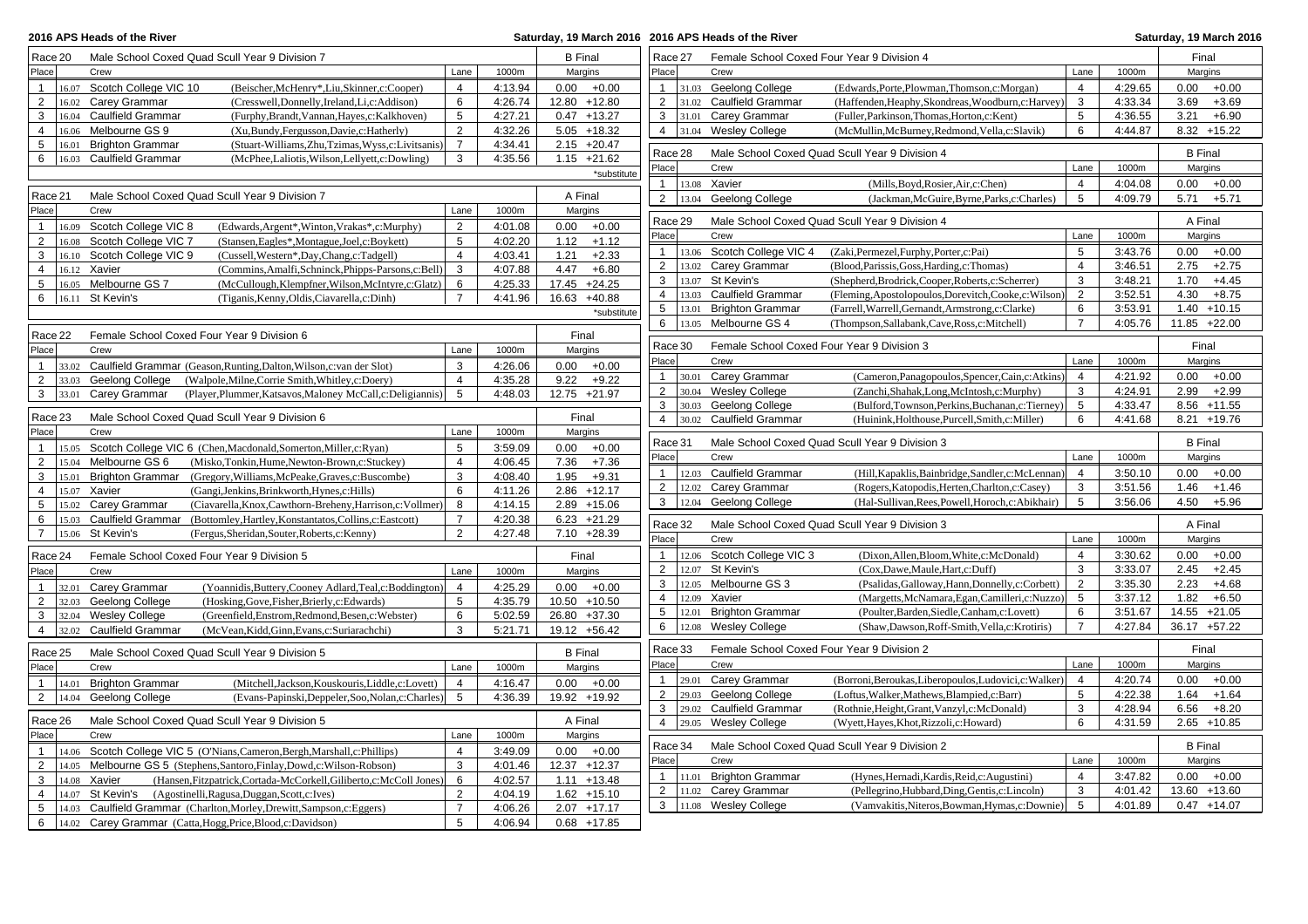| Race 20<br>Male School Coxed Quad Scull Year 9 Division 7<br><b>B</b> Final<br>Race 27<br>Female School Coxed Four Year 9 Division 4<br>1000m<br>Place<br>Crew<br>Lane<br>Margins<br>Place<br>Crew<br>Lane<br>1000m<br>$\mathbf{1}$<br>16.07 Scotch College VIC 10<br>(Beischer, McHenry*, Liu, Skinner, c: Cooper)<br>$\overline{4}$<br>4:13.94<br>$0.00 + 0.00$<br>$\mathbf{1}$<br>31.03 Geelong College<br>$\overline{4}$<br>4:29.65<br>(Edwards, Porte, Plowman, Thomson, c: Morgan)<br>$\overline{2}$<br>2<br>16.02 Carey Grammar<br>6<br>4:26.74<br>12.80 +12.80<br><b>Caulfield Grammar</b><br>3<br>4:33.34<br>(Cresswell, Donnelly, Ireland, Li, c: Addison)<br>31.02<br>(Haffenden, Heaphy, Skondreas, Woodburn, c: Harvey<br>$\,$ 5 $\,$<br>3<br>16.04 Caulfield Grammar<br>(Furphy, Brandt, Vannan, Hayes, c: Kalkhoven)<br>4:27.21<br>$0.47 + 13.27$<br>3<br>31.01 Carey Grammar<br>5<br>4:36.55<br>(Fuller, Parkinson, Thomas, Horton, c: Kent)<br>16.06 Melbourne GS 9<br>$\overline{2}$<br>(Xu,Bundy,Fergusson,Davie,c:Hatherly)<br>4:32.26<br>$5.05 + 18.32$<br>$\overline{4}$<br>31.04 Wesley College<br>6<br>4:44.87<br>4<br>(McMullin, McBurney, Redmond, Vella, c: Slavik)<br>$\overline{7}$<br>$2.15 +20.47$<br>5<br>16.01 Brighton Grammar<br>(Stuart-Williams,Zhu,Tzimas,Wyss,c:Livitsanis)<br>4:34.41<br>Race 28<br>Male School Coxed Quad Scull Year 9 Division 4<br>6<br>16.03 Caulfield Grammar<br>3<br>4:35.56<br>$1.15 + 21.62$<br>(McPhee,Laliotis,Wilson,Lellyett,c:Dowling)<br>Place<br>Crew<br>Lane<br>1000m<br>*substitute<br>$\overline{4}$<br>$\mathbf{1}$<br>13.08 Xavier<br>4:04.08 | Final<br>Margins<br>0.00<br>$+0.00$<br>3.69<br>$+3.69$<br>3.21<br>$+6.90$<br>$8.32 + 15.22$<br><b>B</b> Final<br>Margins<br>$0.00\,$<br>$+0.00$ |
|---------------------------------------------------------------------------------------------------------------------------------------------------------------------------------------------------------------------------------------------------------------------------------------------------------------------------------------------------------------------------------------------------------------------------------------------------------------------------------------------------------------------------------------------------------------------------------------------------------------------------------------------------------------------------------------------------------------------------------------------------------------------------------------------------------------------------------------------------------------------------------------------------------------------------------------------------------------------------------------------------------------------------------------------------------------------------------------------------------------------------------------------------------------------------------------------------------------------------------------------------------------------------------------------------------------------------------------------------------------------------------------------------------------------------------------------------------------------------------------------------------------------------------------------------------------------------------------------------------------------------|-------------------------------------------------------------------------------------------------------------------------------------------------|
|                                                                                                                                                                                                                                                                                                                                                                                                                                                                                                                                                                                                                                                                                                                                                                                                                                                                                                                                                                                                                                                                                                                                                                                                                                                                                                                                                                                                                                                                                                                                                                                                                           |                                                                                                                                                 |
|                                                                                                                                                                                                                                                                                                                                                                                                                                                                                                                                                                                                                                                                                                                                                                                                                                                                                                                                                                                                                                                                                                                                                                                                                                                                                                                                                                                                                                                                                                                                                                                                                           |                                                                                                                                                 |
|                                                                                                                                                                                                                                                                                                                                                                                                                                                                                                                                                                                                                                                                                                                                                                                                                                                                                                                                                                                                                                                                                                                                                                                                                                                                                                                                                                                                                                                                                                                                                                                                                           |                                                                                                                                                 |
|                                                                                                                                                                                                                                                                                                                                                                                                                                                                                                                                                                                                                                                                                                                                                                                                                                                                                                                                                                                                                                                                                                                                                                                                                                                                                                                                                                                                                                                                                                                                                                                                                           |                                                                                                                                                 |
|                                                                                                                                                                                                                                                                                                                                                                                                                                                                                                                                                                                                                                                                                                                                                                                                                                                                                                                                                                                                                                                                                                                                                                                                                                                                                                                                                                                                                                                                                                                                                                                                                           |                                                                                                                                                 |
|                                                                                                                                                                                                                                                                                                                                                                                                                                                                                                                                                                                                                                                                                                                                                                                                                                                                                                                                                                                                                                                                                                                                                                                                                                                                                                                                                                                                                                                                                                                                                                                                                           |                                                                                                                                                 |
|                                                                                                                                                                                                                                                                                                                                                                                                                                                                                                                                                                                                                                                                                                                                                                                                                                                                                                                                                                                                                                                                                                                                                                                                                                                                                                                                                                                                                                                                                                                                                                                                                           |                                                                                                                                                 |
|                                                                                                                                                                                                                                                                                                                                                                                                                                                                                                                                                                                                                                                                                                                                                                                                                                                                                                                                                                                                                                                                                                                                                                                                                                                                                                                                                                                                                                                                                                                                                                                                                           |                                                                                                                                                 |
| (Mills, Boyd, Rosier, Air, c: Chen)                                                                                                                                                                                                                                                                                                                                                                                                                                                                                                                                                                                                                                                                                                                                                                                                                                                                                                                                                                                                                                                                                                                                                                                                                                                                                                                                                                                                                                                                                                                                                                                       |                                                                                                                                                 |
| Race 21<br>Male School Coxed Quad Scull Year 9 Division 7<br>A Final<br>$\overline{2}$<br>Geelong College<br>(Jackman, McGuire, Byrne, Parks, c: Charles)<br>5<br>4:09.79<br>13.04                                                                                                                                                                                                                                                                                                                                                                                                                                                                                                                                                                                                                                                                                                                                                                                                                                                                                                                                                                                                                                                                                                                                                                                                                                                                                                                                                                                                                                        | 5.71<br>$+5.71$                                                                                                                                 |
| Place<br>Lane<br>1000m<br>Margins<br>Crew                                                                                                                                                                                                                                                                                                                                                                                                                                                                                                                                                                                                                                                                                                                                                                                                                                                                                                                                                                                                                                                                                                                                                                                                                                                                                                                                                                                                                                                                                                                                                                                 |                                                                                                                                                 |
| Race 29<br>Male School Coxed Quad Scull Year 9 Division 4<br>$\overline{2}$<br>16.09 Scotch College VIC 8<br>0.00<br>$\mathbf{1}$<br>(Edwards, Argent*, Winton, Vrakas*, c: Murphy)<br>4:01.08<br>$+0.00$                                                                                                                                                                                                                                                                                                                                                                                                                                                                                                                                                                                                                                                                                                                                                                                                                                                                                                                                                                                                                                                                                                                                                                                                                                                                                                                                                                                                                 | A Final                                                                                                                                         |
| Place<br>Crew<br>1000m<br>Lane<br>16.08 Scotch College VIC 7<br>5<br>$\overline{2}$<br>(Stansen, Eagles*, Montague, Joel, c: Boykett)<br>4:02.20<br>1.12<br>$+1.12$                                                                                                                                                                                                                                                                                                                                                                                                                                                                                                                                                                                                                                                                                                                                                                                                                                                                                                                                                                                                                                                                                                                                                                                                                                                                                                                                                                                                                                                       | Margins                                                                                                                                         |
| 5<br>3:43.76<br>$\mathbf{1}$<br>Scotch College VIC 4<br>(Zaki, Permezel, Furphy, Porter, c: Pai)<br>13.06<br>16.10 Scotch College VIC 9<br>$\overline{4}$<br>$+2.33$<br>3<br>(Cussell, Western*, Day, Chang, c: Tadgell)<br>4:03.41<br>1.21                                                                                                                                                                                                                                                                                                                                                                                                                                                                                                                                                                                                                                                                                                                                                                                                                                                                                                                                                                                                                                                                                                                                                                                                                                                                                                                                                                               | 0.00<br>$+0.00$                                                                                                                                 |
| $\overline{2}$<br>13.02 Carey Grammar<br>(Blood, Parissis, Goss, Harding, c: Thomas)<br>3:46.51<br>$\overline{4}$<br>16.12 Xavier<br>3<br>4:07.88<br>4.47<br>$+6.80$<br>$\overline{4}$<br>(Commins, Amalfi, Schninck, Phipps-Parsons, c: Bell)                                                                                                                                                                                                                                                                                                                                                                                                                                                                                                                                                                                                                                                                                                                                                                                                                                                                                                                                                                                                                                                                                                                                                                                                                                                                                                                                                                            | 2.75<br>$+2.75$                                                                                                                                 |
| 3<br>3<br>13.07 St Kevin's<br>(Shepherd, Brodrick, Cooper, Roberts, c: Scherrer)<br>3:48.21<br>16.05 Melbourne GS 7<br>6<br>4:25.33<br>17.45 +24.25<br>5<br>(McCullough, Klempfner, Wilson, McIntyre, c: Glatz)                                                                                                                                                                                                                                                                                                                                                                                                                                                                                                                                                                                                                                                                                                                                                                                                                                                                                                                                                                                                                                                                                                                                                                                                                                                                                                                                                                                                           | 1.70<br>$+4.45$                                                                                                                                 |
| 3:52.51<br>$\overline{4}$<br>13.03 Caulfield Grammar<br>(Fleming, Apostolopoulos, Dorevitch, Cooke, c: Wilson)<br>2<br>6<br>$16.11$ St Kevin's<br>$\overline{7}$<br>4:41.96<br>16.63 +40.88<br>(Tiganis, Kenny, Oldis, Ciavarella, c: Dinh)                                                                                                                                                                                                                                                                                                                                                                                                                                                                                                                                                                                                                                                                                                                                                                                                                                                                                                                                                                                                                                                                                                                                                                                                                                                                                                                                                                               | $+8.75$<br>4.30                                                                                                                                 |
| 5<br>13.01 Brighton Grammar<br>(Farrell, Warrell, Gernandt, Armstrong, c: Clarke)<br>6<br>3:53.91<br>*substitute<br>$\overline{7}$                                                                                                                                                                                                                                                                                                                                                                                                                                                                                                                                                                                                                                                                                                                                                                                                                                                                                                                                                                                                                                                                                                                                                                                                                                                                                                                                                                                                                                                                                        | $1.40 + 10.15$                                                                                                                                  |
| 6<br>13.05 Melbourne GS 4<br>(Thompson,Sallabank,Cave,Ross,c:Mitchell)<br>4:05.76<br>Race 22<br>Female School Coxed Four Year 9 Division 6<br>Final                                                                                                                                                                                                                                                                                                                                                                                                                                                                                                                                                                                                                                                                                                                                                                                                                                                                                                                                                                                                                                                                                                                                                                                                                                                                                                                                                                                                                                                                       | 11.85 +22.00                                                                                                                                    |
| Race 30<br>Female School Coxed Four Year 9 Division 3<br>Place<br>Crew<br>Lane<br>1000m<br>Margins                                                                                                                                                                                                                                                                                                                                                                                                                                                                                                                                                                                                                                                                                                                                                                                                                                                                                                                                                                                                                                                                                                                                                                                                                                                                                                                                                                                                                                                                                                                        | Final                                                                                                                                           |
| Place<br>Crew<br>Lane<br>1000m<br>3<br>$\mathbf{1}$<br>33.02 Caulfield Grammar (Geason, Runting, Dalton, Wilson, c: van der Slot)<br>4:26.06<br>0.00<br>$+0.00$                                                                                                                                                                                                                                                                                                                                                                                                                                                                                                                                                                                                                                                                                                                                                                                                                                                                                                                                                                                                                                                                                                                                                                                                                                                                                                                                                                                                                                                           | Margins                                                                                                                                         |
| $\mathbf{1}$<br>30.01 Carey Grammar<br>(Cameron, Panagopoulos, Spencer, Cain, c: Atkins)<br>$\overline{4}$<br>4:21.92<br>2<br>Geelong College<br>$\overline{4}$<br>4:35.28<br>$+9.22$<br>33.03<br>(Walpole, Milne, Corrie Smith, Whitley, c: Doery)<br>9.22                                                                                                                                                                                                                                                                                                                                                                                                                                                                                                                                                                                                                                                                                                                                                                                                                                                                                                                                                                                                                                                                                                                                                                                                                                                                                                                                                               | 0.00<br>$+0.00$                                                                                                                                 |
| $\overline{2}$<br>30.04 Wesley College<br>(Zanchi, Shahak, Long, McIntosh, c: Murphy)<br>3<br>4:24.91<br>Carey Grammar<br>5<br>12.75 +21.97<br>$\mathbf{3}$<br>33.01<br>(Player, Plummer, Katsavos, Maloney McCall, c: Deligiannis)<br>4:48.03                                                                                                                                                                                                                                                                                                                                                                                                                                                                                                                                                                                                                                                                                                                                                                                                                                                                                                                                                                                                                                                                                                                                                                                                                                                                                                                                                                            | 2.99<br>$+2.99$                                                                                                                                 |
| 3<br>30.03 Geelong College<br>(Bulford, Townson, Perkins, Buchanan, c: Tierney<br>5<br>4:33.47                                                                                                                                                                                                                                                                                                                                                                                                                                                                                                                                                                                                                                                                                                                                                                                                                                                                                                                                                                                                                                                                                                                                                                                                                                                                                                                                                                                                                                                                                                                            | $8.56 + 11.55$                                                                                                                                  |
| Race 23<br>Male School Coxed Quad Scull Year 9 Division 6<br>Final<br>$\overline{4}$<br>30.02 Caulfield Grammar<br>6<br>(Huinink, Holthouse, Purcell, Smith, c: Miller)<br>4:41.68                                                                                                                                                                                                                                                                                                                                                                                                                                                                                                                                                                                                                                                                                                                                                                                                                                                                                                                                                                                                                                                                                                                                                                                                                                                                                                                                                                                                                                        | 8.21 +19.76                                                                                                                                     |
| Place<br>Crew<br>1000m<br>Margins<br>Lane<br>Race 31<br>Male School Coxed Quad Scull Year 9 Division 3                                                                                                                                                                                                                                                                                                                                                                                                                                                                                                                                                                                                                                                                                                                                                                                                                                                                                                                                                                                                                                                                                                                                                                                                                                                                                                                                                                                                                                                                                                                    | <b>B</b> Final                                                                                                                                  |
| 15.05 Scotch College VIC 6 (Chen, Macdonald, Somerton, Miller, c: Ryan)<br>5<br>3:59.09<br>$0.00 + 0.00$<br>$\mathbf{1}$<br>Place<br>Crew<br>Lane<br>1000m                                                                                                                                                                                                                                                                                                                                                                                                                                                                                                                                                                                                                                                                                                                                                                                                                                                                                                                                                                                                                                                                                                                                                                                                                                                                                                                                                                                                                                                                | Margins                                                                                                                                         |
| 2<br>$\overline{4}$<br>15.04 Melbourne GS 6<br>(Misko,Tonkin,Hume,Newton-Brown,c:Stuckey)<br>4:06.45<br>7.36<br>$+7.36$<br>1<br>12.03 Caulfield Grammar<br>(Hill, Kapaklis, Bainbridge, Sandler, c: McLennan)<br>$\overline{4}$<br>3:50.10<br>3<br>4:08.40<br>1.95                                                                                                                                                                                                                                                                                                                                                                                                                                                                                                                                                                                                                                                                                                                                                                                                                                                                                                                                                                                                                                                                                                                                                                                                                                                                                                                                                        | 0.00<br>$+0.00$                                                                                                                                 |
| 15.01 Brighton Grammar (Gregory, Williams, McPeake, Graves, c: Buscombe)<br>3<br>$+9.31$<br>$\overline{2}$<br>3:51.56<br>12.02<br>Carey Grammar<br>(Rogers, Katopodis, Herten, Charlton, c: Casey)<br>3<br>15.07 Xavier<br>6<br>$2.86 + 12.17$<br>$\overline{4}$<br>(Gangi, Jenkins, Brinkworth, Hynes, c: Hills)<br>4:11.26                                                                                                                                                                                                                                                                                                                                                                                                                                                                                                                                                                                                                                                                                                                                                                                                                                                                                                                                                                                                                                                                                                                                                                                                                                                                                              | 1.46<br>$+1.46$                                                                                                                                 |
| 3<br>12.04 Geelong College<br>5<br>(Hal-Sullivan, Rees, Powell, Horoch, c: Abikhair)<br>3:56.06<br>5<br>8<br>4:14.15<br>15.02 Carey Grammar<br>(Ciavarella, Knox, Cawthorn-Breheny, Harrison, c: Vollmer)<br>$2.89 + 15.06$                                                                                                                                                                                                                                                                                                                                                                                                                                                                                                                                                                                                                                                                                                                                                                                                                                                                                                                                                                                                                                                                                                                                                                                                                                                                                                                                                                                               | 4.50<br>$+5.96$                                                                                                                                 |
| $\overline{7}$<br>15.03 Caulfield Grammar (Bottomley, Hartley, Konstantatos, Collins, c: Eastcott)<br>4:20.38<br>$6.23 +21.29$<br>6                                                                                                                                                                                                                                                                                                                                                                                                                                                                                                                                                                                                                                                                                                                                                                                                                                                                                                                                                                                                                                                                                                                                                                                                                                                                                                                                                                                                                                                                                       |                                                                                                                                                 |
| Race 32<br>Male School Coxed Quad Scull Year 9 Division 3<br>$\overline{7}$<br>15.06 St Kevin's<br>(Fergus, Sheridan, Souter, Roberts, c: Kenny)<br>$\overline{2}$<br>4:27.48<br>$7.10 +28.39$                                                                                                                                                                                                                                                                                                                                                                                                                                                                                                                                                                                                                                                                                                                                                                                                                                                                                                                                                                                                                                                                                                                                                                                                                                                                                                                                                                                                                            | A Final                                                                                                                                         |
| Place<br>Crew<br>1000m<br>Lane                                                                                                                                                                                                                                                                                                                                                                                                                                                                                                                                                                                                                                                                                                                                                                                                                                                                                                                                                                                                                                                                                                                                                                                                                                                                                                                                                                                                                                                                                                                                                                                            | Margins                                                                                                                                         |
| 12.06 Scotch College VIC 3<br>$\mathbf{1}$<br>(Dixon, Allen, Bloom, White, c: McDonald)<br>$\overline{4}$<br>3:30.62<br>Female School Coxed Four Year 9 Division 5<br>Final<br>Race 24                                                                                                                                                                                                                                                                                                                                                                                                                                                                                                                                                                                                                                                                                                                                                                                                                                                                                                                                                                                                                                                                                                                                                                                                                                                                                                                                                                                                                                    | 0.00<br>$+0.00$                                                                                                                                 |
| $\overline{2}$<br>12.07 St Kevin's<br>3<br>(Cox,Dawe,Maule,Hart,c:Duff)<br>3:33.07<br>Place<br>Crew<br>1000m<br>Lane<br>Margins                                                                                                                                                                                                                                                                                                                                                                                                                                                                                                                                                                                                                                                                                                                                                                                                                                                                                                                                                                                                                                                                                                                                                                                                                                                                                                                                                                                                                                                                                           | 2.45<br>$+2.45$                                                                                                                                 |
| 3<br>12.05 Melbourne GS 3<br>2<br>3:35.30<br>(Psalidas, Galloway, Hann, Donnelly, c: Corbett)<br>Carey Grammar<br>(Yoannidis, Buttery, Cooney Adlard, Teal, c: Boddington)<br>$\overline{4}$<br>4:25.29<br>$0.00 + 0.00$<br>$\mathbf{1}$<br>32.01<br>$\overline{4}$<br>12.09 Xavier<br>3:37.12<br>5                                                                                                                                                                                                                                                                                                                                                                                                                                                                                                                                                                                                                                                                                                                                                                                                                                                                                                                                                                                                                                                                                                                                                                                                                                                                                                                       | 2.23<br>$+4.68$<br>1.82<br>$+6.50$                                                                                                              |
| (Margetts, McNamara, Egan, Camilleri, c: Nuzzo)<br>$\overline{2}$<br>5<br>32.03 Geelong College<br>4:35.79<br>10.50 +10.50<br>(Hosking, Gove, Fisher, Brierly, c: Edwards)<br>5<br>12.01<br><b>Brighton Grammar</b><br>6<br>(Poulter, Barden, Siedle, Canham, c: Lovett)<br>3:51.67                                                                                                                                                                                                                                                                                                                                                                                                                                                                                                                                                                                                                                                                                                                                                                                                                                                                                                                                                                                                                                                                                                                                                                                                                                                                                                                                       | 14.55 +21.05                                                                                                                                    |
| 32.04 Wesley College<br>6<br>26.80 +37.30<br>3<br>(Greenfield, Enstrom, Redmond, Besen, c: Webster)<br>5:02.59<br>6<br>12.08 Wesley College<br>(Shaw,Dawson,Roff-Smith,Vella,c:Krotiris)<br>$\overline{7}$<br>4:27.84                                                                                                                                                                                                                                                                                                                                                                                                                                                                                                                                                                                                                                                                                                                                                                                                                                                                                                                                                                                                                                                                                                                                                                                                                                                                                                                                                                                                     | 36.17 +57.22                                                                                                                                    |
| $\overline{4}$<br>32.02 Caulfield Grammar<br>(McVean, Kidd, Ginn, Evans, c: Suriarachchi)<br>3<br>5:21.71<br>19.12 +56.42                                                                                                                                                                                                                                                                                                                                                                                                                                                                                                                                                                                                                                                                                                                                                                                                                                                                                                                                                                                                                                                                                                                                                                                                                                                                                                                                                                                                                                                                                                 |                                                                                                                                                 |
| Race 33<br>Female School Coxed Four Year 9 Division 2<br>Race 25<br>Male School Coxed Quad Scull Year 9 Division 5<br><b>B</b> Final                                                                                                                                                                                                                                                                                                                                                                                                                                                                                                                                                                                                                                                                                                                                                                                                                                                                                                                                                                                                                                                                                                                                                                                                                                                                                                                                                                                                                                                                                      | Final                                                                                                                                           |
| Place<br>Crew<br>Lane<br>1000m<br>Place<br>1000m<br>Crew<br>Lane<br>Margins                                                                                                                                                                                                                                                                                                                                                                                                                                                                                                                                                                                                                                                                                                                                                                                                                                                                                                                                                                                                                                                                                                                                                                                                                                                                                                                                                                                                                                                                                                                                               | Margins                                                                                                                                         |
| 29.01 Carey Grammar<br>(Borroni, Beroukas, Liberopoulos, Ludovici, c: Walker)<br>$\overline{4}$<br>4:20.74<br>$\mathbf{1}$<br><b>Brighton Grammar</b><br>(Mitchell, Jackson, Kouskouris, Liddle, c: Lovett)<br>$\overline{4}$<br>4:16.47<br>$0.00 + 0.00$<br>$\mathbf{1}$<br>14.01                                                                                                                                                                                                                                                                                                                                                                                                                                                                                                                                                                                                                                                                                                                                                                                                                                                                                                                                                                                                                                                                                                                                                                                                                                                                                                                                        | 0.00<br>$+0.00$                                                                                                                                 |
| 2<br>29.03 Geelong College<br>(Loftus, Walker, Mathews, Blampied, c: Barr)<br>5<br>4:22.38<br>$\overline{2}$<br>5<br>19.92 +19.92<br>Geelong College<br>4:36.39<br>14.04<br>(Evans-Papinski, Deppeler, Soo, Nolan, c: Charles)                                                                                                                                                                                                                                                                                                                                                                                                                                                                                                                                                                                                                                                                                                                                                                                                                                                                                                                                                                                                                                                                                                                                                                                                                                                                                                                                                                                            | 1.64<br>$+1.64$                                                                                                                                 |
| $\overline{3}$<br>3<br>29.02 Caulfield Grammar<br>4:28.94<br>(Rothnie, Height, Grant, Vanzyl, c: McDonald)                                                                                                                                                                                                                                                                                                                                                                                                                                                                                                                                                                                                                                                                                                                                                                                                                                                                                                                                                                                                                                                                                                                                                                                                                                                                                                                                                                                                                                                                                                                | 6.56<br>$+8.20$                                                                                                                                 |
| Race 26<br>Male School Coxed Quad Scull Year 9 Division 5<br>A Final<br>$\overline{4}$<br>29.05 Wesley College<br>6<br>4:31.59<br>(Wyett, Hayes, Khot, Rizzoli, c: Howard)                                                                                                                                                                                                                                                                                                                                                                                                                                                                                                                                                                                                                                                                                                                                                                                                                                                                                                                                                                                                                                                                                                                                                                                                                                                                                                                                                                                                                                                | $2.65 + 10.85$                                                                                                                                  |
| Place<br>Lane<br>1000m<br>Margins<br>Crew<br>Race 34<br>Male School Coxed Quad Scull Year 9 Division 2                                                                                                                                                                                                                                                                                                                                                                                                                                                                                                                                                                                                                                                                                                                                                                                                                                                                                                                                                                                                                                                                                                                                                                                                                                                                                                                                                                                                                                                                                                                    | <b>B</b> Final                                                                                                                                  |
| $\overline{4}$<br>$\mathbf{1}$<br>14.06 Scotch College VIC 5 (O'Nians, Cameron, Bergh, Marshall, c: Phillips)<br>3:49.09<br>$0.00 + 0.00$<br>Place<br>Crew<br>Lane<br>1000m                                                                                                                                                                                                                                                                                                                                                                                                                                                                                                                                                                                                                                                                                                                                                                                                                                                                                                                                                                                                                                                                                                                                                                                                                                                                                                                                                                                                                                               | Margins                                                                                                                                         |
| 3<br>12.37 +12.37<br>$\overline{2}$<br>14.05 Melbourne GS 5 (Stephens, Santoro, Finlay, Dowd, c: Wilson-Robson)<br>4:01.46<br>$\mathbf{1}$<br>11.01 Brighton Grammar<br>$\overline{4}$<br>3:47.82<br>(Hynes, Hernadi, Kardis, Reid, c: Augustini)<br>3<br>14.08 Xavier<br>(Hansen, Fitzpatrick, Cortada-McCorkell, Giliberto, c: McColl Jones)<br>6<br>4:02.57<br>$1.11 + 13.48$                                                                                                                                                                                                                                                                                                                                                                                                                                                                                                                                                                                                                                                                                                                                                                                                                                                                                                                                                                                                                                                                                                                                                                                                                                          | 0.00<br>$+0.00$                                                                                                                                 |
| $\overline{2}$<br>11.02 Carey Grammar<br>(Pellegrino, Hubbard, Ding, Gentis, c: Lincoln)<br>3<br>4:01.42<br>2<br>$1.62 + 15.10$<br>$\overline{4}$<br>14.07 St Kevin's (Agostinelli, Ragusa, Duggan, Scott, c: Ives)<br>4:04.19                                                                                                                                                                                                                                                                                                                                                                                                                                                                                                                                                                                                                                                                                                                                                                                                                                                                                                                                                                                                                                                                                                                                                                                                                                                                                                                                                                                            | 13.60 +13.60                                                                                                                                    |
| $\mathbf{3}$<br>11.08 Wesley College<br>5<br>4:01.89<br>(Vamvakitis, Niteros, Bowman, Hymas, c: Downie)<br>$\overline{7}$<br>5<br>14.03 Caulfield Grammar (Charlton, Morley, Drewitt, Sampson, c: Eggers)<br>4:06.26<br>$2.07 + 17.17$                                                                                                                                                                                                                                                                                                                                                                                                                                                                                                                                                                                                                                                                                                                                                                                                                                                                                                                                                                                                                                                                                                                                                                                                                                                                                                                                                                                    | $0.47 + 14.07$                                                                                                                                  |
| 14.02 Carey Grammar (Catta, Hogg, Price, Blood, c: Davidson)<br>5<br>4:06.94<br>$0.68 + 17.85$<br>6                                                                                                                                                                                                                                                                                                                                                                                                                                                                                                                                                                                                                                                                                                                                                                                                                                                                                                                                                                                                                                                                                                                                                                                                                                                                                                                                                                                                                                                                                                                       |                                                                                                                                                 |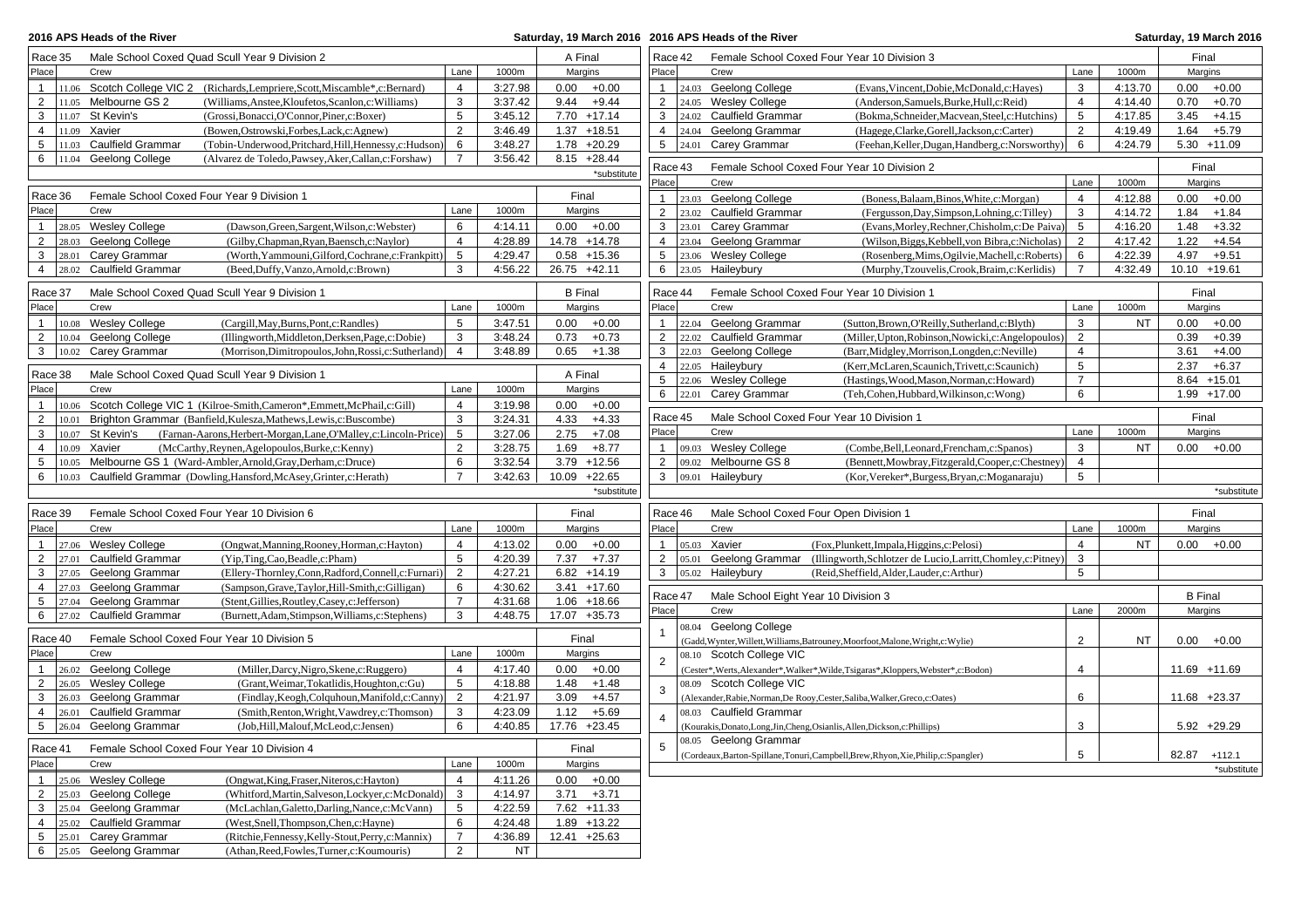| 2016 APS Heads of the River |                                                |                                                                                                    |                 |                    |                |                                  |                         |       | Saturday, 19 March 2016 2016 APS Heads of the River |                                                                                       |                |           |                 | Saturday, 19 March 2016 |
|-----------------------------|------------------------------------------------|----------------------------------------------------------------------------------------------------|-----------------|--------------------|----------------|----------------------------------|-------------------------|-------|-----------------------------------------------------|---------------------------------------------------------------------------------------|----------------|-----------|-----------------|-------------------------|
| Race 35                     |                                                | Male School Coxed Quad Scull Year 9 Division 2                                                     |                 |                    | A Final        |                                  | Race 42                 |       |                                                     | Female School Coxed Four Year 10 Division 3                                           |                |           | Final           |                         |
| Place                       | Crew                                           |                                                                                                    | Lane            | 1000m              | Margins        |                                  | Place                   |       | Crew                                                |                                                                                       | Lane           | 1000m     | Margins         |                         |
| $\mathbf{1}$                |                                                | 11.06 Scotch College VIC 2 (Richards, Lempriere, Scott, Miscamble*, c: Bernard)                    | 4               | 3:27.98            | 0.00           | $+0.00$                          | $\mathbf{1}$            |       | 24.03 Geelong College                               | (Evans, Vincent, Dobie, McDonald, c: Hayes)                                           | 3              | 4:13.70   | 0.00            | $+0.00$                 |
| $\overline{2}$              | 11.05 Melbourne GS 2                           | (Williams, Anstee, Kloufetos, Scanlon, c: Williams)                                                | 3               | 3:37.42            | 9.44           | $+9.44$                          | $\overline{2}$          |       | 24.05 Wesley College                                | (Anderson, Samuels, Burke, Hull, c: Reid)                                             | $\overline{4}$ | 4:14.40   | 0.70            | $+0.70$                 |
| 3                           | 11.07 St Kevin's                               | (Grossi, Bonacci, O'Connor, Piner, c: Boxer)                                                       | 5               | 3:45.12            |                | 7.70 +17.14                      | 3                       |       | 24.02 Caulfield Grammar                             | (Bokma, Schneider, Macvean, Steel, c: Hutchins)                                       | 5              | 4:17.85   | 3.45            | $+4.15$                 |
| 4                           | 11.09 Xavier                                   | (Bowen, Ostrowski, Forbes, Lack, c: Agnew)                                                         | $\overline{2}$  | 3:46.49            |                | $1.37 + 18.51$                   | $\overline{4}$          |       | 24.04 Geelong Grammar                               | (Hagege,Clarke,Gorell,Jackson,c:Carter)                                               | 2              | 4:19.49   | 1.64            | $+5.79$                 |
| 5<br>11.03                  | <b>Caulfield Grammar</b>                       | (Tobin-Underwood, Pritchard, Hill, Hennessy, c: Hudson)                                            | 6               | 3:48.27            |                | $1.78 + 20.29$                   | $5\overline{)}$         | 24.01 | Carey Grammar                                       | (Feehan, Keller, Dugan, Handberg, c: Norsworthy)                                      | 6              | 4:24.79   |                 | $5.30 + 11.09$          |
| 6                           | 11.04 Geelong College                          | (Alvarez de Toledo, Pawsey, Aker, Callan, c: Forshaw)                                              | $\overline{7}$  | 3:56.42            |                | $8.15 +28.44$                    | Race 43                 |       |                                                     | Female School Coxed Four Year 10 Division 2                                           |                |           | Final           |                         |
|                             |                                                |                                                                                                    |                 |                    |                | *substitute                      | Place                   |       | Crew                                                |                                                                                       | Lane           | 1000m     | Margins         |                         |
| Race 36                     | Female School Coxed Four Year 9 Division 1     |                                                                                                    |                 |                    | Final          |                                  | $\mathbf{1}$            |       | 23.03 Geelong College                               | (Boness, Balaam, Binos, White, c: Morgan)                                             | $\overline{4}$ | 4:12.88   | 0.00            | $+0.00$                 |
| Place                       | Crew                                           |                                                                                                    | Lane            | 1000m              | Margins        |                                  | $\overline{2}$          |       | 23.02 Caulfield Grammar                             | (Fergusson, Day, Simpson, Lohning, c: Tilley)                                         | 3              | 4:14.72   | 1.84            | $+1.84$                 |
| $\mathbf{1}$                | 28.05 Wesley College                           | (Dawson, Green, Sargent, Wilson, c: Webster)                                                       | 6               | 4:14.11            |                | $0.00 + 0.00$                    | 3                       |       | 23.01 Carey Grammar                                 | (Evans, Morley, Rechner, Chisholm, c: De Paiva)                                       | 5              | 4:16.20   | 1.48            | $+3.32$                 |
| $\overline{2}$              | 28.03 Geelong College                          | (Gilby,Chapman,Ryan,Baensch,c:Naylor)                                                              | 4               | 4:28.89            |                | 14.78 +14.78                     | 4                       |       | 23.04 Geelong Grammar                               | (Wilson, Biggs, Kebbell, von Bibra, c: Nicholas)                                      | $\overline{2}$ | 4:17.42   | 1.22            | $+4.54$                 |
| 3                           | 28.01 Carey Grammar                            | (Worth, Yammouni, Gilford, Cochrane, c: Frankpitt)                                                 | 5               | 4:29.47            |                | $0.58 + 15.36$                   | 5                       |       | 23.06 Wesley College                                | (Rosenberg, Mims, Ogilvie, Machell, c: Roberts)                                       | 6              | 4:22.39   | 4.97            | $+9.51$                 |
| $\overline{4}$<br>28.02     | <b>Caulfield Grammar</b>                       | (Beed,Duffy,Vanzo,Arnold,c:Brown)                                                                  | 3               | 4:56.22            | 26.75 +42.11   |                                  | 6                       |       | 23.05 Haileybury                                    | (Murphy,Tzouvelis,Crook,Braim,c:Kerlidis)                                             | $\overline{7}$ | 4:32.49   | $10.10 + 19.61$ |                         |
|                             |                                                |                                                                                                    |                 |                    |                |                                  |                         |       |                                                     |                                                                                       |                |           |                 |                         |
| Race 37                     |                                                | Male School Coxed Quad Scull Year 9 Division 1                                                     |                 |                    | <b>B</b> Final |                                  | Race 44                 |       |                                                     | Female School Coxed Four Year 10 Division 1                                           |                |           | Final           |                         |
| Place                       | Crew                                           |                                                                                                    | Lane            | 1000m              | Margins        |                                  | Place                   |       | Crew                                                |                                                                                       | Lane           | 1000m     | Margins         |                         |
| $\mathbf{1}$<br>10.08       | <b>Wesley College</b>                          | (Cargill, May, Burns, Pont, c: Randles)                                                            | 5               | 3:47.51            | 0.00           | $+0.00$                          | $\mathbf{1}$            |       | 22.04 Geelong Grammar                               | (Sutton, Brown, O'Reilly, Sutherland, c: Blyth)                                       | 3              | NT        | 0.00            | $+0.00$                 |
| $\overline{2}$<br>10.04     | Geelong College                                | (Illingworth, Middleton, Derksen, Page, c: Dobie)                                                  | 3               | 3:48.24            | 0.73           | $+0.73$                          | 2                       |       | 22.02 Caulfield Grammar                             | (Miller, Upton, Robinson, Nowicki, c: Angelopoulos)                                   | 2              |           | 0.39            | $+0.39$                 |
| 3<br>10.02                  | Carey Grammar                                  | (Morrison, Dimitropoulos, John, Rossi, c: Sutherland)                                              | $\overline{4}$  | 3:48.89            | 0.65           | $+1.38$                          | 3                       |       | 22.03 Geelong College                               | (Barr, Midgley, Morrison, Longden, c: Neville)                                        | 4              |           | 3.61            | $+4.00$                 |
| Race 38                     |                                                | Male School Coxed Quad Scull Year 9 Division 1                                                     |                 |                    | A Final        |                                  | $\overline{4}$          |       | 22.05 Haileybury                                    | (Kerr, McLaren, Scaunich, Trivett, c: Scaunich)                                       | 5              |           | 2.37            | $+6.37$                 |
| Place                       | Crew                                           |                                                                                                    | Lane            | 1000m              | Margins        |                                  | 5                       |       | 22.06 Wesley College                                | (Hastings, Wood, Mason, Norman, c: Howard)                                            | $\overline{7}$ |           |                 | $8.64 + 15.01$          |
| $\mathbf{1}$                |                                                | 10.06 Scotch College VIC 1 (Kilroe-Smith, Cameron*, Emmett, McPhail, c: Gill)                      | 4               | 3:19.98            | 0.00           | $+0.00$                          | 6                       |       | 22.01 Carey Grammar                                 | (Teh,Cohen,Hubbard,Wilkinson,c:Wong)                                                  | 6              |           |                 | 1.99 +17.00             |
| $\overline{2}$<br>10.01     |                                                | Brighton Grammar (Banfield, Kulesza, Mathews, Lewis, c: Buscombe)                                  | 3               | 3:24.31            | 4.33           | $+4.33$                          | Race 45                 |       |                                                     | Male School Coxed Four Year 10 Division 1                                             |                |           | Final           |                         |
| 3                           | 10.07 St Kevin's                               | (Farnan-Aarons, Herbert-Morgan, Lane, O'Malley, c: Lincoln-Price)                                  | $5\phantom{.0}$ | 3:27.06            | 2.75           | $+7.08$                          | Place                   |       | Crew                                                |                                                                                       | Lane           | 1000m     | Margins         |                         |
| $\overline{4}$<br>10.09     | Xavier                                         | (McCarthy, Reynen, Agelopoulos, Burke, c: Kenny)                                                   | $\overline{2}$  | 3:28.75            | 1.69           | $+8.77$                          | $\mathbf{1}$            |       | 09.03 Wesley College                                | (Combe, Bell, Leonard, Frencham, c: Spanos)                                           | 3              | <b>NT</b> |                 | $0.00 + 0.00$           |
| 5                           |                                                | 10.05 Melbourne GS 1 (Ward-Ambler, Arnold, Gray, Derham, c: Druce)                                 | 6               | 3:32.54            |                | $3.79 + 12.56$                   | 2                       |       | 09.02 Melbourne GS 8                                | (Bennett, Mowbray, Fitzgerald, Cooper, c: Chestney                                    | $\overline{4}$ |           |                 |                         |
| 6                           |                                                | 10.03 Caulfield Grammar (Dowling, Hansford, McAsey, Grinter, c: Herath)                            | $\overline{7}$  | 3:42.63            | 10.09 +22.65   |                                  | 3                       |       | 09.01 Haileybury                                    | (Kor, Vereker*, Burgess, Bryan, c: Moganaraju)                                        | 5              |           |                 |                         |
|                             |                                                | *substitute                                                                                        |                 |                    |                |                                  |                         |       |                                                     | *substitute                                                                           |                |           |                 |                         |
|                             |                                                |                                                                                                    |                 |                    |                |                                  |                         |       |                                                     |                                                                                       |                |           |                 |                         |
| Race 39                     |                                                | Female School Coxed Four Year 10 Division 6                                                        |                 |                    | Final          |                                  | Race 46                 |       |                                                     | Male School Coxed Four Open Division 1                                                |                |           | Final           |                         |
| Place                       | Crew                                           |                                                                                                    | Lane            | 1000m              | Margins        |                                  | Place                   |       | Crew                                                |                                                                                       | Lane           | 1000m     | Margins         |                         |
| $\mathbf{1}$                | 27.06 Wesley College                           | (Ongwat, Manning, Rooney, Horman, c: Hayton)                                                       | 4               | 4:13.02            |                | $0.00 + 0.00$                    | $\mathbf{1}$            |       | 05.03 Xavier                                        | (Fox, Plunkett, Impala, Higgins, c: Pelosi)                                           | $\overline{4}$ | NT        |                 | $0.00 + 0.00$           |
| $\overline{2}$<br>27.01     | <b>Caulfield Grammar</b>                       | (Yip,Ting,Cao,Beadle,c:Pham)                                                                       | 5               | 4:20.39            |                | $7.37 + 7.37$                    | $\overline{2}$          | 05.01 | Geelong Grammar                                     | (Illingworth, Schlotzer de Lucio, Larritt, Chomley, c: Pitney)                        | $\mathbf{3}$   |           |                 |                         |
| 3<br>$\overline{4}$         | 27.05 Geelong Grammar                          | (Ellery-Thornley,Conn,Radford,Connell,c:Furnari)                                                   | 2<br>6          | 4:27.21<br>4:30.62 |                | $6.82 + 14.19$<br>$3.41 + 17.60$ | 3                       |       | 05.02 Haileybury                                    | (Reid, Sheffield, Alder, Lauder, c: Arthur)                                           | 5              |           |                 |                         |
| 5                           | 27.03 Geelong Grammar<br>27.04 Geelong Grammar | (Sampson, Grave, Taylor, Hill-Smith, c: Gilligan)                                                  | $\overline{7}$  | 4:31.68            |                | $1.06 + 18.66$                   | Race 47                 |       | Male School Eight Year 10 Division 3                |                                                                                       |                |           | <b>B</b> Final  |                         |
| 6<br>27.02                  | <b>Caulfield Grammar</b>                       | (Stent, Gillies, Routley, Casey, c: Jefferson)<br>(Burnett, Adam, Stimpson, Williams, c: Stephens) | 3               | 4:48.75            | 17.07 +35.73   |                                  | Place                   |       | Crew                                                |                                                                                       | Lane           | 2000m     | Margins         |                         |
|                             |                                                |                                                                                                    |                 |                    |                |                                  | $\overline{1}$          |       | 08.04 Geelong College                               |                                                                                       |                |           |                 |                         |
| Race 40                     |                                                | Female School Coxed Four Year 10 Division 5                                                        |                 |                    | Final          |                                  |                         |       |                                                     | (Gadd, Wynter, Willett, Williams, Batrouney, Moorfoot, Malone, Wright, c: Wylie)      | $\overline{2}$ | NT        | 0.00            | $+0.00$                 |
| Place                       | Crew                                           |                                                                                                    | Lane            | 1000m              | Margins        |                                  | $\overline{2}$          |       | 08.10 Scotch College VIC                            |                                                                                       |                |           |                 |                         |
| -1                          | 26.02 Geelong College                          | (Miller, Darcy, Nigro, Skene, c: Ruggero)                                                          | 4               | 4:17.40            | 0.00           | $+0.00$                          |                         |       |                                                     | (Cester*, Werts, Alexander*, Walker*, Wilde, Tsigaras*, Kloppers, Webster*, c: Bodon) | 4              |           | 11.69 +11.69    |                         |
| $\overline{2}$              | 26.05 Wesley College                           | (Grant, Weimar, Tokatlidis, Houghton, c: Gu)                                                       | 5               | 4:18.88            | 1.48           | $+1.48$                          | 3                       |       | 08.09 Scotch College VIC                            |                                                                                       |                |           |                 |                         |
| 3                           | 26.03 Geelong Grammar                          | (Findlay, Keogh, Colquhoun, Manifold, c: Canny)                                                    | $\overline{2}$  | 4:21.97            | 3.09           | $+4.57$                          |                         |       |                                                     | (Alexander, Rabie, Norman, De Rooy, Cester, Saliba, Walker, Greco, c: Oates)          | 6              |           | 11.68 +23.37    |                         |
| $\overline{4}$              | 26.01 Caulfield Grammar                        | (Smith, Renton, Wright, Vawdrey, c: Thomson)                                                       | 3               | 4:23.09            |                | $1.12 + 5.69$                    | $\overline{\mathbf{A}}$ |       | 08.03 Caulfield Grammar                             |                                                                                       |                |           |                 |                         |
|                             | 5 26.04 Geelong Grammar                        | (Job,Hill,Malouf,McLeod,c:Jensen)                                                                  | 6               | 4:40.85            | 17.76 +23.45   |                                  |                         |       |                                                     | (Kourakis, Donato, Long, Jin, Cheng, Osianlis, Allen, Dickson, c: Phillips)           | 3              |           |                 | $5.92 +29.29$           |
| Race 41                     |                                                | Female School Coxed Four Year 10 Division 4                                                        |                 |                    | Final          |                                  | 5                       |       | 08.05 Geelong Grammar                               |                                                                                       |                |           |                 |                         |
| Place                       | Crew                                           |                                                                                                    | Lane            | 1000m              | Margins        |                                  |                         |       |                                                     | (Cordeaux, Barton-Spillane, Tonuri, Campbell, Brew, Rhyon, Xie, Philip, c: Spangler)  | 5              |           | 82.87 +112.1    |                         |
| $\mathbf{1}$                | 25.06 Wesley College                           | (Ongwat, King, Fraser, Niteros, c: Hayton)                                                         | 4               | 4:11.26            |                | $0.00 + 0.00$                    |                         |       |                                                     |                                                                                       |                |           |                 | *substitute             |
| $\overline{2}$              | 25.03 Geelong College                          | (Whitford, Martin, Salveson, Lockyer, c: McDonald)                                                 | 3               | 4:14.97            | 3.71           | $+3.71$                          |                         |       |                                                     |                                                                                       |                |           |                 |                         |
| 3                           | 25.04 Geelong Grammar                          | (McLachlan, Galetto, Darling, Nance, c: McVann)                                                    | 5               | 4:22.59            |                | $7.62 + 11.33$                   |                         |       |                                                     |                                                                                       |                |           |                 |                         |
| 4                           | 25.02 Caulfield Grammar                        | (West,Snell,Thompson,Chen,c:Hayne)                                                                 | 6               | 4:24.48            |                | $1.89 + 13.22$                   |                         |       |                                                     |                                                                                       |                |           |                 |                         |
| 5                           | 25.01 Carey Grammar                            | (Ritchie, Fennessy, Kelly-Stout, Perry, c: Mannix)                                                 | $\overline{7}$  | 4:36.89            | 12.41 +25.63   |                                  |                         |       |                                                     |                                                                                       |                |           |                 |                         |
| 6                           | 25.05 Geelong Grammar                          | (Athan, Reed, Fowles, Turner, c: Koumouris)                                                        | $\overline{2}$  | NT                 |                |                                  |                         |       |                                                     |                                                                                       |                |           |                 |                         |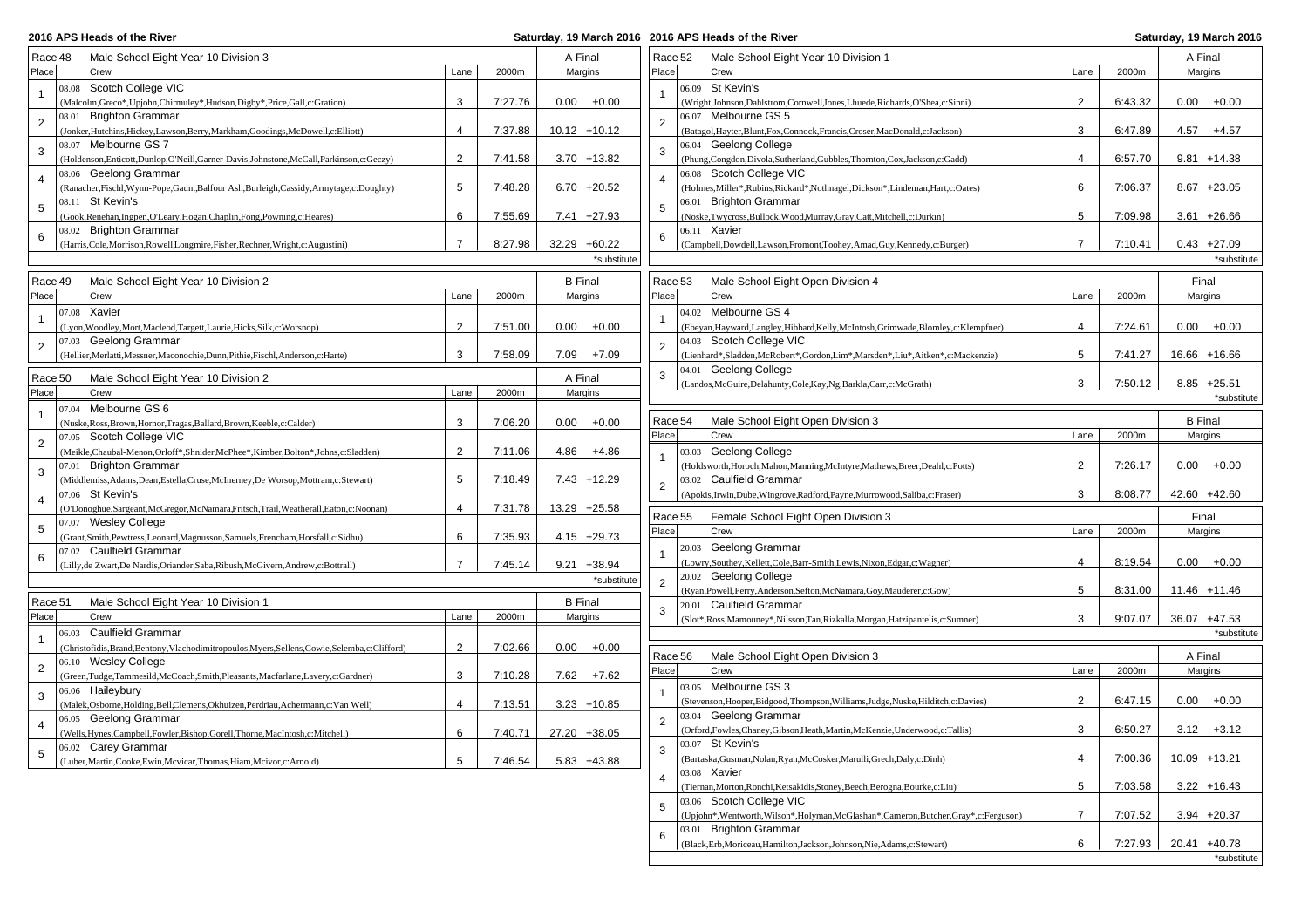**2016 APS Heads of the River** 

## **2016 APS Heads of the River Saturday, 19 March 2016**

| Male School Eight Year 10 Division 3<br>Race 48                                                  |                |         | A Final             | Race 52        | Male School Eight Year 10 Division 1                                                  |                         |         | A Final        |
|--------------------------------------------------------------------------------------------------|----------------|---------|---------------------|----------------|---------------------------------------------------------------------------------------|-------------------------|---------|----------------|
| Place<br>Crew                                                                                    | Lane           | 2000m   | Margins             | Place          | Crew                                                                                  | Lane                    | 2000m   | Margins        |
| 08.08 Scotch College VIC                                                                         |                |         |                     |                | St Kevin's                                                                            |                         |         |                |
| $\mathbf{1}$                                                                                     |                |         |                     |                | 06.09                                                                                 |                         |         |                |
| (Malcolm, Greco*, Upjohn, Chirmuley*, Hudson, Digby*, Price, Gall, c: Gration)                   | 3              | 7:27.76 | $0.00 + 0.00$       |                | (Wright,Johnson,Dahlstrom,Cornwell,Jones,Lhuede,Richards,O'Shea,c:Sinni)              | $\overline{2}$          | 6:43.32 | $0.00 + 0.00$  |
| 08.01 Brighton Grammar<br>$\overline{2}$                                                         |                |         |                     | $\overline{2}$ | 06.07 Melbourne GS 5                                                                  |                         |         |                |
| (Jonker, Hutchins, Hickey, Lawson, Berry, Markham, Goodings, McDowell, c: Elliott)               | $\overline{4}$ | 7:37.88 | $10.12 + 10.12$     |                | (Batagol, Hayter, Blunt, Fox, Connock, Francis, Croser, MacDonald, c: Jackson)        | 3                       | 6:47.89 | $4.57 + 4.57$  |
| 08.07 Melbourne GS 7<br>3                                                                        |                |         |                     | 3              | 06.04 Geelong College                                                                 |                         |         |                |
| (Holdenson, Enticott, Dunlop, O'Neill, Garner-Davis, Johnstone, McCall, Parkinson, c: Geczy)     | 2              | 7:41.58 | $3.70 + 13.82$      |                | (Phung, Congdon, Divola, Sutherland, Gubbles, Thornton, Cox, Jackson, c: Gadd)        | $\overline{4}$          | 6:57.70 | $9.81 + 14.38$ |
| 08.06 Geelong Grammar<br>$\overline{4}$                                                          |                |         |                     | $\overline{4}$ | 06.08 Scotch College VIC                                                              |                         |         |                |
| (Ranacher, Fischl, Wynn-Pope, Gaunt, Balfour Ash, Burleigh, Cassidy, Armytage, c: Doughty)       | 5              | 7:48.28 | $6.70 +20.52$       |                | (Holmes, Miller*, Rubins, Rickard*, Nothnagel, Dickson*, Lindeman, Hart, c: Oates)    | 6                       | 7:06.37 | $8.67 + 23.05$ |
| 08.11 St Kevin's<br>5                                                                            |                |         |                     | -5             | 06.01 Brighton Grammar                                                                |                         |         |                |
| (Gook, Renehan, Ingpen, O'Leary, Hogan, Chaplin, Fong, Powning, c: Heares)                       | 6              | 7:55.69 | $7.41 +27.93$       |                | (Noske, Twycross, Bullock, Wood, Murray, Gray, Catt, Mitchell, c: Durkin)             | 5                       | 7:09.98 | $3.61 + 26.66$ |
| 08.02 Brighton Grammar<br>6                                                                      |                |         |                     | 6              | 06.11 Xavier                                                                          |                         |         |                |
| (Harris, Cole, Morrison, Rowell, Longmire, Fisher, Rechner, Wright, c: Augustini)                | $\overline{7}$ | 8:27.98 | 32.29 +60.22        |                | (Campbell,Dowdell,Lawson,Fromont,Toohey,Amad,Guy,Kennedy,c:Burger)                    | $\overline{7}$          | 7:10.41 | $0.43 +27.09$  |
|                                                                                                  |                |         | *substitute         |                |                                                                                       |                         |         | *substitute    |
|                                                                                                  |                |         |                     |                |                                                                                       |                         |         |                |
| Male School Eight Year 10 Division 2<br>Race 49                                                  |                |         | <b>B</b> Final      | Race 53        | Male School Eight Open Division 4                                                     |                         |         | Final          |
| Place<br>Crew                                                                                    | Lane           | 2000m   | Margins             | Place          | Crew                                                                                  | Lane                    | 2000m   | Margins        |
| 07.08 Xavier<br>$\overline{1}$                                                                   |                |         |                     |                | 04.02 Melbourne GS 4                                                                  |                         |         |                |
| (Lyon, Woodley, Mort, Macleod, Targett, Laurie, Hicks, Silk, c: Worsnop)                         | 2              | 7:51.00 | $0.00\,$<br>$+0.00$ |                | (Ebeyan, Hayward, Langley, Hibbard, Kelly, McIntosh, Grimwade, Blomley, c: Klempfner) | $\overline{\mathbf{A}}$ | 7:24.61 | $0.00 + 0.00$  |
| 07.03 Geelong Grammar<br>$\overline{2}$                                                          |                |         |                     | $\overline{2}$ | 04.03 Scotch College VIC                                                              |                         |         |                |
| (Hellier, Merlatti, Messner, Maconochie, Dunn, Pithie, Fischl, Anderson, c: Harte)               | 3              | 7:58.09 | $7.09 + 7.09$       |                | (Lienhard*,Sladden,McRobert*,Gordon,Lim*,Marsden*,Liu*,Aitken*,c:Mackenzie)           | 5                       | 7:41.27 | 16.66 +16.66   |
|                                                                                                  |                |         |                     | 3              | Geelong College<br>04.01                                                              |                         |         |                |
| Race 50<br>Male School Eight Year 10 Division 2                                                  |                |         | A Final             |                | (Landos, McGuire, Delahunty, Cole, Kay, Ng, Barkla, Carr, c: McGrath)                 | 3                       | 7:50.12 | $8.85 +25.51$  |
| Place<br>Crew                                                                                    | Lane           | 2000m   | Margins             |                |                                                                                       |                         |         | *substitute    |
| 07.04 Melbourne GS 6<br>$\mathbf{1}$                                                             |                |         |                     |                |                                                                                       |                         |         |                |
| (Nuske, Ross, Brown, Hornor, Tragas, Ballard, Brown, Keeble, c: Calder)                          | 3              | 7:06.20 | $0.00\,$<br>$+0.00$ | Race 54        | Male School Eight Open Division 3                                                     |                         |         | <b>B</b> Final |
| 07.05 Scotch College VIC<br>$\overline{2}$                                                       |                |         |                     | Place          | Crew                                                                                  | Lane                    | 2000m   | Margins        |
| (Meikle, Chaubal-Menon, Orloff*, Shnider, McPhee*, Kimber, Bolton*, Johns, c: Sladden)           | 2              | 7:11.06 | 4.86<br>+4.86       |                | 03.03 Geelong College                                                                 |                         |         |                |
| 07.01 Brighton Grammar                                                                           |                |         |                     |                | (Holdsworth, Horoch, Mahon, Manning, McIntyre, Mathews, Breer, Deahl, c: Potts)       | 2                       | 7:26.17 | $0.00 + 0.00$  |
| 3<br>(Middlemiss, Adams, Dean, Estella, Cruse, McInerney, De Worsop, Mottram, c: Stewart)        | 5              | 7:18.49 | $7.43 + 12.29$      |                | 03.02 Caulfield Grammar                                                               |                         |         |                |
| 07.06 St Kevin's                                                                                 |                |         |                     | $\overline{2}$ | (Apokis, Irwin, Dube, Wingrove, Radford, Payne, Murrowood, Saliba, c: Fraser)         | 3                       | 8:08.77 | 42.60 +42.60   |
| 4<br>(O'Donoghue, Sargeant, McGregor, McNamara, Fritsch, Trail, Weatherall, Eaton, c: Noonan)    | $\overline{4}$ | 7:31.78 | 13.29 +25.58        |                |                                                                                       |                         |         |                |
| 07.07 Wesley College                                                                             |                |         |                     | Race 55        | Female School Eight Open Division 3                                                   |                         |         | Final          |
| 5<br>Grant, Smith, Pewtress, Leonard, Magnusson, Samuels, Frencham, Horsfall, c: Sidhu)          | 6              | 7:35.93 | $4.15 +29.73$       | Place          | Crew                                                                                  | Lane                    | 2000m   | Margins        |
| 07.02 Caulfield Grammar                                                                          |                |         |                     |                | 20.03 Geelong Grammar                                                                 |                         |         |                |
| 6<br>(Lilly, de Zwart, De Nardis, Oriander, Saba, Ribush, McGivern, Andrew, c: Bottrall)         | $\overline{7}$ | 7:45.14 | $9.21 + 38.94$      | $\overline{1}$ | (Lowry, Southey, Kellett, Cole, Barr-Smith, Lewis, Nixon, Edgar, c: Wagner)           | 4                       | 8:19.54 | $0.00 + 0.00$  |
|                                                                                                  |                |         |                     |                | 20.02 Geelong College                                                                 |                         |         |                |
|                                                                                                  |                |         | *substitute         | $\overline{2}$ | (Ryan, Powell, Perry, Anderson, Sefton, McNamara, Goy, Mauderer, c: Gow)              | 5                       | 8:31.00 | 11.46 +11.46   |
| Race 51<br>Male School Eight Year 10 Division 1                                                  |                |         | <b>B</b> Final      |                | 20.01 Caulfield Grammar                                                               |                         |         |                |
| Place<br>Crew                                                                                    | Lane           | 2000m   | Margins             | 3              | (Slot*,Ross,Mamouney*,Nilsson,Tan,Rizkalla,Morgan,Hatzipantelis,c:Sumner)             | 3                       | 9:07.07 | 36.07 +47.53   |
| 06.03 Caulfield Grammar                                                                          |                |         |                     |                |                                                                                       |                         |         | *substitute    |
| $\mathbf{1}$                                                                                     | 2              | 7:02.66 | $0.00 + 0.00$       |                |                                                                                       |                         |         |                |
| (Christofidis, Brand, Bentony, Vlachodimitropoulos, Myers, Sellens, Cowie, Selemba, c: Clifford) |                |         |                     | Race 56        | Male School Eight Open Division 3                                                     |                         |         | A Final        |
| 06.10 Wesley College<br>$\overline{2}$                                                           |                |         |                     | Place          | Crew                                                                                  | Lane                    | 2000m   | Margins        |
| (Green,Tudge,Tammesild,McCoach,Smith,Pleasants,Macfarlane,Lavery,c:Gardner)                      | 3              | 7:10.28 | $7.62 + 7.62$       |                | 03.05 Melbourne GS 3                                                                  |                         |         |                |
| 06.06 Haileybury<br>3                                                                            |                |         |                     |                | (Stevenson, Hooper, Bidgood, Thompson, Williams, Judge, Nuske, Hilditch, c: Davies)   | 2                       | 6:47.15 | $0.00 + 0.00$  |
| (Malek, Osborne, Holding, Bell, Clemens, Okhuizen, Perdriau, Achermann, c: Van Well)             | 4              | 7:13.51 | $3.23 + 10.85$      |                | 03.04 Geelong Grammar                                                                 |                         |         |                |
| 06.05 Geelong Grammar<br>$\overline{4}$                                                          |                |         |                     | $\overline{2}$ |                                                                                       | 3                       | 6:50.27 | $3.12 + 3.12$  |
| (Wells, Hynes, Campbell, Fowler, Bishop, Gorell, Thorne, MacIntosh, c: Mitchell)                 | 6              | 7:40.71 | 27.20 +38.05        |                | (Orford, Fowles, Chaney, Gibson, Heath, Martin, McKenzie, Underwood, c: Tallis)       |                         |         |                |
| 06.02 Carey Grammar<br>5                                                                         |                |         |                     | 3              | 03.07 St Kevin's                                                                      |                         |         |                |
| (Luber, Martin, Cooke, Ewin, Mcvicar, Thomas, Hiam, Mcivor, c: Arnold)                           | 5              | 7:46.54 | $5.83 + 43.88$      |                | (Bartaska, Gusman, Nolan, Ryan, McCosker, Marulli, Grech, Daly, c: Dinh)              | 4                       | 7:00.36 | 10.09 +13.21   |
|                                                                                                  |                |         |                     | $\overline{4}$ | 03.08 Xavier                                                                          |                         |         |                |
|                                                                                                  |                |         |                     |                | (Tiernan, Morton, Ronchi, Ketsakidis, Stoney, Beech, Berogna, Bourke, c: Liu)         | 5                       | 7:03.58 | $3.22 + 16.43$ |
|                                                                                                  |                |         |                     | 5              | 03.06 Scotch College VIC                                                              |                         |         |                |
|                                                                                                  |                |         |                     |                | (Upjohn*,Wentworth,Wilson*,Holyman,McGlashan*,Cameron,Butcher,Gray*,c:Ferguson)       | $\overline{7}$          | 7:07.52 | $3.94 +20.37$  |
|                                                                                                  |                |         |                     |                | <b>Brighton Grammar</b><br>03.01                                                      |                         |         |                |
|                                                                                                  |                |         |                     | 6              | (Black, Erb, Moriceau, Hamilton, Jackson, Johnson, Nie, Adams, c: Stewart)            | 6                       | 7:27.93 | 20.41 +40.78   |
|                                                                                                  |                |         |                     |                |                                                                                       |                         |         | *substitute    |
|                                                                                                  |                |         |                     |                |                                                                                       |                         |         |                |